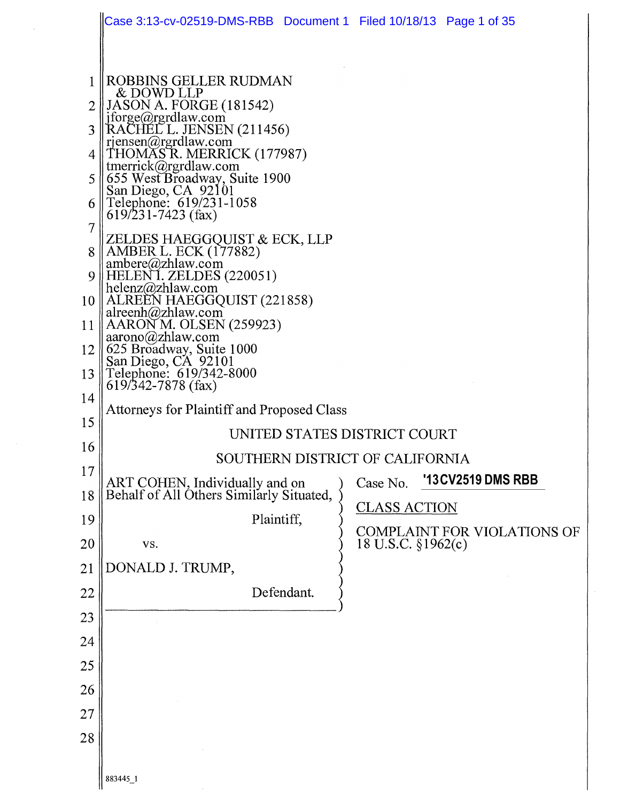|                                | Case 3:13-cv-02519-DMS-RBB  Document 1  Filed 10/18/13  Page 1 of 35                                                                                                                                                                                                                                                                                                                                                                                                                                                                                                                                                                              |  |  |  |  |  |  |
|--------------------------------|---------------------------------------------------------------------------------------------------------------------------------------------------------------------------------------------------------------------------------------------------------------------------------------------------------------------------------------------------------------------------------------------------------------------------------------------------------------------------------------------------------------------------------------------------------------------------------------------------------------------------------------------------|--|--|--|--|--|--|
| 7<br>9<br>10<br>11<br>12<br>13 | ROBBINS GELLER RUDMAN<br>& DOWD LLP<br>$\parallel$ JASON A. FORGE (181542)<br>jforge@rgrdlaw.com<br>RACHEL L. JENSEN (211456)<br>rjensen@rgrdlaw.com<br>THOMAS R. MERRICK (177987)<br>   tmerrick@rgrdlaw.com<br>   655 West Broadway, Suite 1900<br>San Diego, CA 92101<br>Telephone: 619/231-1058<br>$619/231 - 7423$ (fax)<br>ZELDES HAEGGQUIST & ECK, LLP<br>   AMBER L. ECK (177882)<br>ambere@zhlaw.com<br>HELENI. ZELDES (220051)<br>helenz@zhlaw.com<br>   ALREEN HAEGGQUIST (221858)<br>alreenh@zhlaw.com<br>AARON M. OLSEN (259923)<br>aarono(a)zhlaw.com<br>625 Broadway, Suite 1000<br>San Diego, CA 92101<br>Telephone: 619/342-8000 |  |  |  |  |  |  |
| 14                             | 619/342-7878 (fax)                                                                                                                                                                                                                                                                                                                                                                                                                                                                                                                                                                                                                                |  |  |  |  |  |  |
| 15                             | <b>Attorneys for Plaintiff and Proposed Class</b>                                                                                                                                                                                                                                                                                                                                                                                                                                                                                                                                                                                                 |  |  |  |  |  |  |
| 16                             | UNITED STATES DISTRICT COURT<br>SOUTHERN DISTRICT OF CALIFORNIA                                                                                                                                                                                                                                                                                                                                                                                                                                                                                                                                                                                   |  |  |  |  |  |  |
| 17                             | '13 CV 2519 DMS RBB<br>Case No.                                                                                                                                                                                                                                                                                                                                                                                                                                                                                                                                                                                                                   |  |  |  |  |  |  |
| 18                             | ART COHEN, Individually and on<br>Behalf of All Others Similarly Situated,<br><b>CLASS ACTION</b>                                                                                                                                                                                                                                                                                                                                                                                                                                                                                                                                                 |  |  |  |  |  |  |
| 19                             | Plaintiff,<br><b>COMPLAINT FOR VIOLATIONS OF</b>                                                                                                                                                                                                                                                                                                                                                                                                                                                                                                                                                                                                  |  |  |  |  |  |  |
| 20                             | 18 U.S.C. §1962(c)<br>VS.                                                                                                                                                                                                                                                                                                                                                                                                                                                                                                                                                                                                                         |  |  |  |  |  |  |
| 21                             | DONALD J. TRUMP,                                                                                                                                                                                                                                                                                                                                                                                                                                                                                                                                                                                                                                  |  |  |  |  |  |  |
| 22<br>23                       | Defendant.                                                                                                                                                                                                                                                                                                                                                                                                                                                                                                                                                                                                                                        |  |  |  |  |  |  |
| 24                             |                                                                                                                                                                                                                                                                                                                                                                                                                                                                                                                                                                                                                                                   |  |  |  |  |  |  |
| 25                             |                                                                                                                                                                                                                                                                                                                                                                                                                                                                                                                                                                                                                                                   |  |  |  |  |  |  |
| 26                             |                                                                                                                                                                                                                                                                                                                                                                                                                                                                                                                                                                                                                                                   |  |  |  |  |  |  |
| 27                             |                                                                                                                                                                                                                                                                                                                                                                                                                                                                                                                                                                                                                                                   |  |  |  |  |  |  |
| 28                             |                                                                                                                                                                                                                                                                                                                                                                                                                                                                                                                                                                                                                                                   |  |  |  |  |  |  |
|                                | 883445_1                                                                                                                                                                                                                                                                                                                                                                                                                                                                                                                                                                                                                                          |  |  |  |  |  |  |

 $\bar{\gamma}$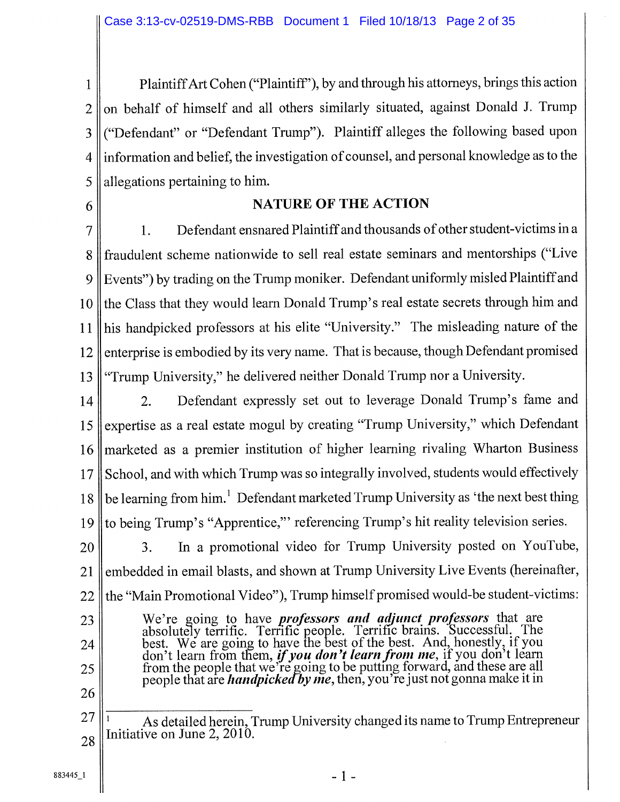Plaintiff Art Cohen ("Plaintiff'), by and through his attorneys, brings this action  $\mathbf{1}$ on behalf of himself and all others similarly situated, against Donald J. Trump  $\overline{2}$ ("Defendant" or "Defendant Trump"). Plaintiff alleges the following based upon 3 information and belief, the investigation of counsel, and personal knowledge as to the  $\overline{4}$ allegations pertaining to him. 5

6

#### NATURE OF THE ACTION

1. Defendant ensnared Plaintiff and thousands of other student-victims in a  $\overline{7}$ fraudulent scheme nationwide to sell real estate seminars and mentorships ("Live 8 9 Events") by trading on the Trump moniker. Defendant uniformly misled Plaintiff and the Class that they would learn Donald Trump's real estate secrets through him and 10 his handpicked professors at his elite "University." The misleading nature of the 11 enterprise is embodied by its very name. That is because, though Defendant promised 12 "Trump University," he delivered neither Donald Trump nor a University. 13

2. Defendant expressly set out to leverage Donald Trump's fame and expertise as a real estate mogul by creating "Trump University," which Defendant marketed as a premier institution of higher learning rivaling Wharton Business School, and with which Trump was so integrally involved, students would effectively be learning from him.<sup>1</sup> Defendant marketed Trump University as 'the next best thing to being Trump's "Apprentice," referencing Trump's hit reality television series. 14 15 16 17 18 19

3. In a promotional video for Trump University posted on YouTube, embedded in email blasts, and shown at Trump University Live Events (hereinafter, the "Main Promotional Video"), Trump himself promised would-be student-victims: 20 21 22

- We're going to have **professors and adjunct professors** that are absolutely terrifc. Terrific people. Terrific brains. Successful. The best. We are going to have the best of the best. And, honestly, if you don't learn from them, *if you* **don't learn front sne,** if you don't learn from the people that we're going to be putting forward, and these are all people that are *handpicked by me*, then, you're just not gonna make it in
- 26

23

24

<sup>1</sup>As detailed herein, Trump University changed its name to Trump Entrepreneur Initiative on June 2, 2010. 27 28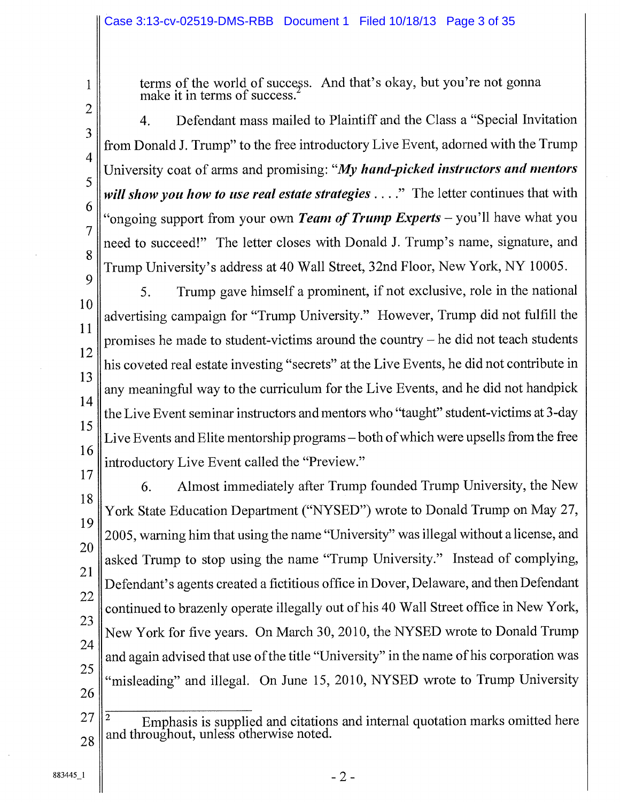1 2

3

4

5

6

7

8

terms of the world of success. And that's okay, but you're not gonna make it in terms of success.

- 4. Defendant mass mailed to Plaintiff and the Class a "Special Invitation from Donald J. Trump" to the free introductory Live Event, adorned with the Trump University coat of arms and promising: *"My hand-picked instructors and mentors will show you how to use real estate strategies ...."* The letter continues that with "ongoing support from your own *Team of Trump Experts — you'll* have what you need to succeed!" The letter closes with Donald J. Trump's name, signature, and Trump University's address at 40 Wall Street, 32nd Floor, New York, NY 10005.
- 9 10 11 12 13 14 15 16 5. Trump gave himself a prominent, if not exclusive, role in the national advertising campaign for "Trump University." However, Trump did not fulfill the promises he made to student-victims around the country — he did not teach students his coveted real estate investing "secrets" at the Live Events, he did not contribute in any meaningful way to the curriculum for the Live Events, and he did not handpick the Live Event seminar instructors and mentors who "taught" student-victims at 3-day Live Events and Elite mentorship programs — both of which were upsells from the free introductory Live Event called the "Preview."
- 17 18 19 20 21 22 23 24 25 26 6. Almost immediately after Trump founded Trump University, the New York State Education Department ("NYSED") wrote to Donald Trump on May 27, 2005, warning him that using the name "University" was illegal without a license, and asked Trump to stop using the name "Trump University." Instead of complying, Defendant's agents created a fictitious office in Dover, Delaware, and then Defendant continued to brazenly operate illegally out of his 40 Wall Street office in New York, New York for five years. On March 30, 2010, the NYSED wrote to Donald Trump and again advised that use of the title "University" in the name of his corporation was "misleading" and illegal. On June 15, 2010, NYSED wrote to Trump University
- <sup>2</sup>Emphasis is supplied and citations and internal quotation marks omitted here 27 and throughout, unless otherwise noted. 28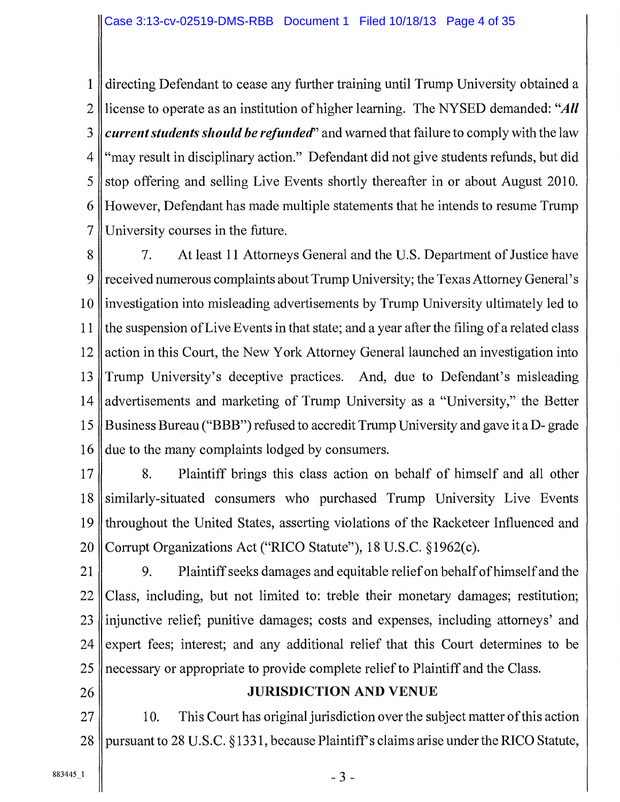directing Defendant to cease any further training until Trump University obtained a license to operate as an institution of higher learning. The NYSED demanded: *"All current students should be refunded"* and warned that failure to comply with the law  $4 \text{ "may result in disciplinary action."}$  Defendant did not give students refunds, but did 5 stop offering and selling Live Events shortly thereafter in or about August 2010. However, Defendant has made multiple statements that he intends to resume Trump University courses in the future.

8 7. At least 11 Attorneys General and the U.S. Department of Justice have 9 received numerous complaints about Trump University; the Texas Attorney General's 10 investigation into misleading advertisements by Trump University ultimately led to 11 the suspension of Live Events in that state; and a year after the filing of a related class 12 action in this Court, the New York Attorney General launched an investigation into 13 Trump University's deceptive practices. And, due to Defendant's misleading 14 advertisements and marketing of Trump University as a "University," the Better 15 Business Bureau ("BBB") refused to accredit Trump University and gave it a D- grade 16 due to the many complaints lodged by consumers.

- 17<sup>8</sup> 178. Plaintiff brings this class action on behalf of himself and all other 18 similarly-situated consumers who purchased Trump University Live Events 19 throughout the United States, asserting violations of the Racketeer Influenced and 20 Corrupt Organizations Act ("RICO Statute"), 18 U.S.C. § 1962(c).
- 21 9. Plaintiff seeks damages and equitable relief on behalf of himself and the  $22$  Class, including, but not limited to: treble their monetary damages; restitution; 23 linjunctive relief; punitive damages; costs and expenses, including attorneys' and 24 expert fees; interest; and any additional relief that this Court determines to be 25 necessary or appropriate to provide complete relief to Plaintiff and the Class.
- 

## 26 || JURISDICTION AND VENUE

 $27$  | 10. This Court has original jurisdiction over the subject matter of this action 28 pursuant to 28 U.S.C. § 1331, because Plaintiff's claims arise under the RICO Statute,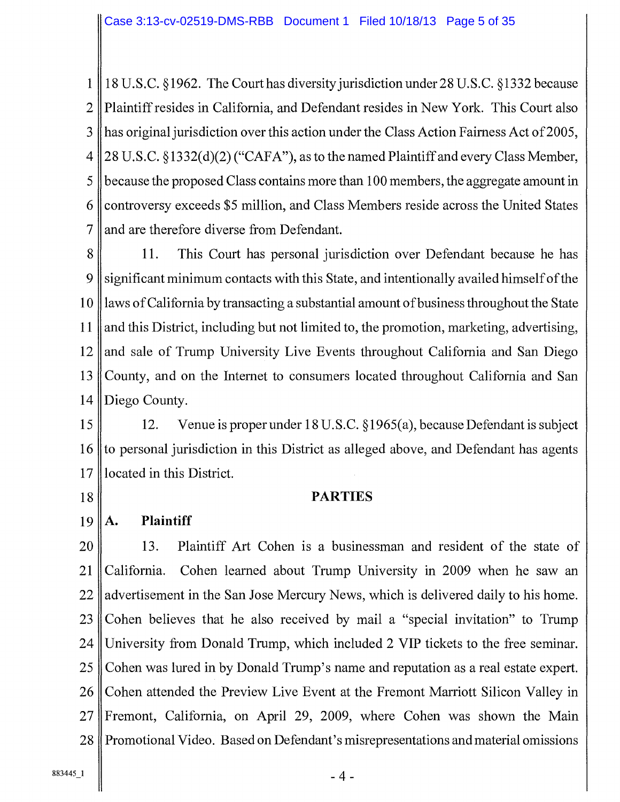1 18 U.S.C. § 1962. The Court has diversity jurisdiction under 28 U.S.C. § 1332 because 2 Plaintiff resides in California, and Defendant resides in New York. This Court also 3 has original jurisdiction over this action under the Class Action Fairness Act of 2005, 4 28 U.S.C. § 1332(d)(2) ("CAFA"), as to the named Plaintiff and every Class Member, 5 because the proposed Class contains more than 100 members, the aggregate amount in 6 controversy exceeds \$5 million, and Class Members reside across the United States  $7$  and are therefore diverse from Defendant.

8 11. This Court has personal jurisdiction over Defendant because he has 9 significant minimum contacts with this State, and intentionally availed himself of the 10 laws of California by transacting a substantial amount of business throughout the State 11 || and this District, including but not limited to, the promotion, marketing, advertising, 12 and sale of Trump University Live Events throughout California and San Diego 13 County, and on the Internet to consumers located throughout California and San 14 Diego County.

15 12. Venue is proper under 18 U.S.C. § 1965(a), because Defendant is subject 16 to personal jurisdiction in this District as alleged above, and Defendant has agents 17 located in this District.

#### 18 PARTIES

 $19$  | A. Plaintiff

20 || 13. Plaintiff Art Cohen is a businessman and resident of the state of 21 California. Cohen learned about Trump University in 2009 when he saw an  $22$  advertisement in the San Jose Mercury News, which is delivered daily to his home. 23 Cohen believes that he also received by mail a "special invitation" to Trump 24 University from Donald Trump, which included 2 VIP tickets to the free seminar. 25 Cohen was lured in by Donald Trump's name and reputation as a real estate expert. 26 Cohen attended the Preview Live Event at the Fremont Marriott Silicon Valley in 27 Fremont, California, on April 29, 2009, where Cohen was shown the Main 28 Promotional Video. Based on Defendant's misrepresentations and material omissions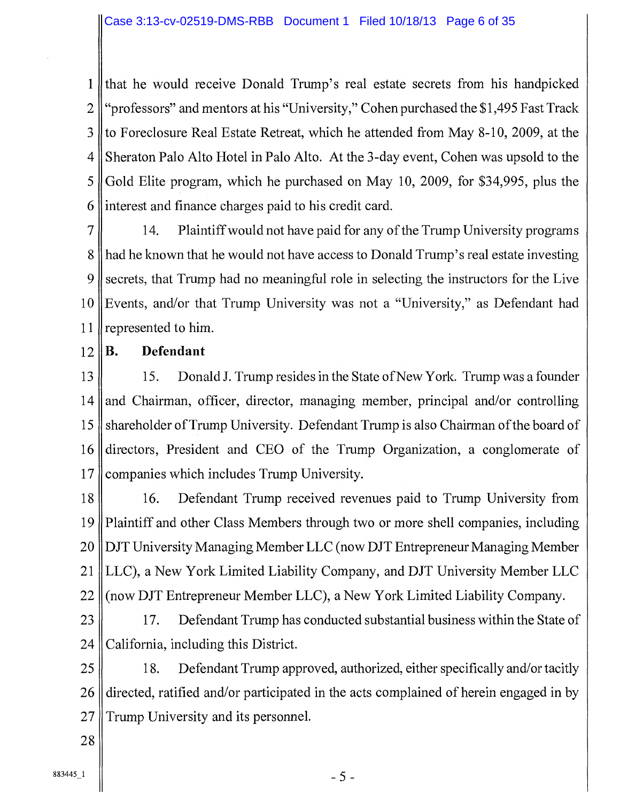1 that he would receive Donald Trump's real estate secrets from his handpicked 2 "professors" and mentors at his "University," Cohen purchased the \$1,495 Fast Track 3 to Foreclosure Real Estate Retreat, which he attended from May 8-10, 2009, at the 4 Sheraton Palo Alto Hotel in Palo Alto. At the 3-day event, Cohen was upsold to the 5 Gold Elite program, which he purchased on May 10, 2009, for \$34,995, plus the 6 interest and finance charges paid to his credit card.

7 14. Plaintiff would not have paid for any of the Trump University programs 8 had he known that he would not have access to Donald Trump's real estate investing 9 secrets, that Trump had no meaningful role in selecting the instructors for the Live 10 Events, and/or that Trump University was not a "University," as Defendant had 11 || represented to him.

 $12 \parallel B$ . Defendant

13 15. Donald J. Trump resides in the State of New York. Trump was a founder 14 and Chairman, officer, director, managing member, principal and/or controlling 15 shareholder of Trump University. Defendant Trump is also Chairman of the board of 16 directors, President and CEO of the Trump Organization, a conglomerate of 17 Companies which includes Trump University.

18 16. Defendant Trump received revenues paid to Trump University from 19 Plaintiff and other Class Members through two or more shell companies, including 20 DJT University Managing Member LLC (now DJT Entrepreneur Managing Member 21 LLC), a New York Limited Liability Company, and DJT University Member LLC 22 (now DJT Entrepreneur Member LLC), a New York Limited Liability Company.

23 21 17. Defendant Trump has conducted substantial business within the State of 24 || California, including this District.

25 18. Defendant Trump approved, authorized, either specifically and/or tacitly  $26$  directed, ratified and/or participated in the acts complained of herein engaged in by 27 Trump University and its personnel.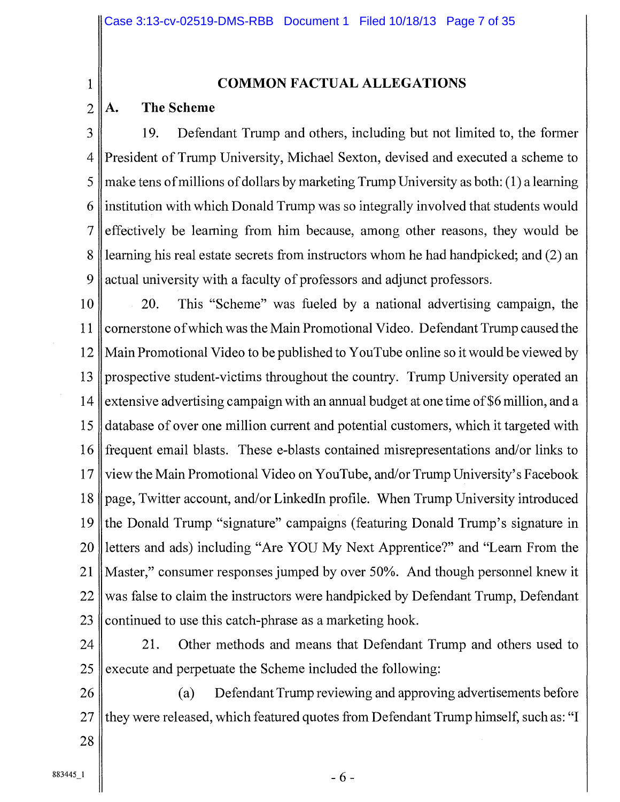#### 1 COMMON FACTUAL ALLEGATIONS

#### $2 \parallel A$ . The Scheme

3 19. Defendant Trump and others, including but not limited to, the former 4 President of Trump University, Michael Sexton, devised and executed a scheme to 5 make tens of millions of dollars by marketing Trump University as both: (1) a learning 6 institution with which Donald Trump was so integrally involved that students would 7 effectively be learning from him because, among other reasons, they would be 8 I learning his real estate secrets from instructors whom he had handpicked; and (2) an 9 actual university with a faculty of professors and adjunct professors.

10 20. This "Scheme" was fueled by a national advertising campaign, the 11 cornerstone of which was the Main Promotional Video. Defendant Trump caused the 12 Main Promotional Video to be published to YouTube online so it would be viewed by 13 prospective student-victims throughout the country. Trump University operated an 14 extensive advertising campaign with an annual budget at one time of \$6 million, and a 15 database of over one million current and potential customers, which it targeted with 16 frequent email blasts. These e-blasts contained misrepresentations and/or links to 17 view the Main Promotional Video on YouTube, and/or Trump University's Facebook 18 page, Twitter account, and/or LinkedIn profile. When Trump University introduced 19 the Donald Trump "signature" campaigns (featuring Donald Trump's signature in 20 letters and ads) including "Are YOU My Next Apprentice?" and "Learn From the 21 Master," consumer responses jumped by over 50%. And though personnel knew it 22 was false to claim the instructors were handpicked by Defendant Trump, Defendant 23  $\parallel$  continued to use this catch-phrase as a marketing hook.

24 21. Other methods and means that Defendant Trump and others used to  $25$  execute and perpetuate the Scheme included the following:

26 (a) Defendant Trump reviewing and approving advertisements before  $27$  they were released, which featured quotes from Defendant Trump himself, such as: "I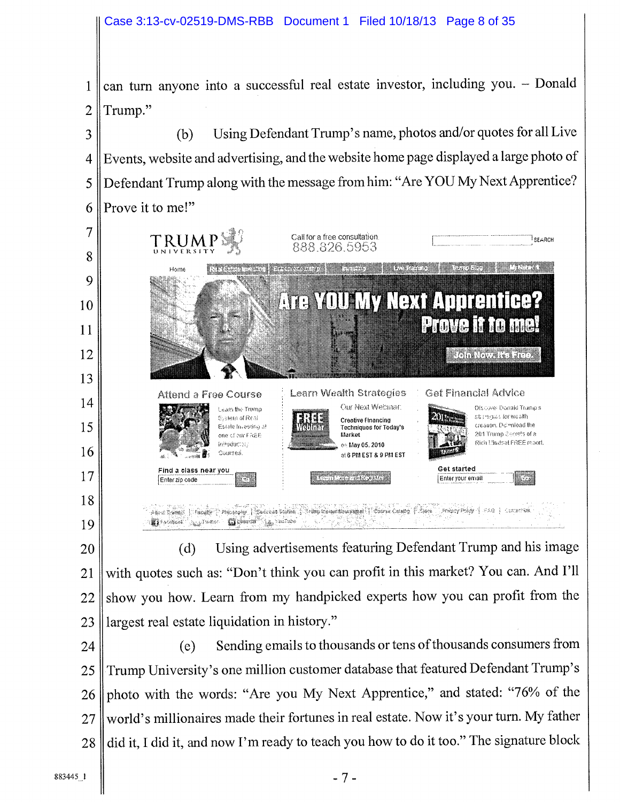1 can turn anyone into a successful real estate investor, including you. - Donald 2 Trump."

3 4 5 6 (b) Using Defendant Trump's name, photos and/or quotes for all Live Events, website and advertising, and the website home page displayed a large photo of Defendant Trump along with the message from him: "Are YOU My Next Apprentice? Prove it to me!"



20 21 22 23 (d) Using advertisements featuring Defendant Trump and his image with quotes such as: "Don't think you can profit in this market? You can. And I'll show you how. Learn from my handpicked experts how you can profit from the largest real estate liquidation in history."

24 25 26 27 28 (e) Sending emails to thousands or tens of thousands consumers from Trump University's one million customer database that featured Defendant Trump's photo with the words: "Are you My Next Apprentice," and stated: "76% of the world's millionaires made their fortunes in real estate. Now it's your turn. My father did it, I did it, and now I'm ready to teach you how to do it too." The signature block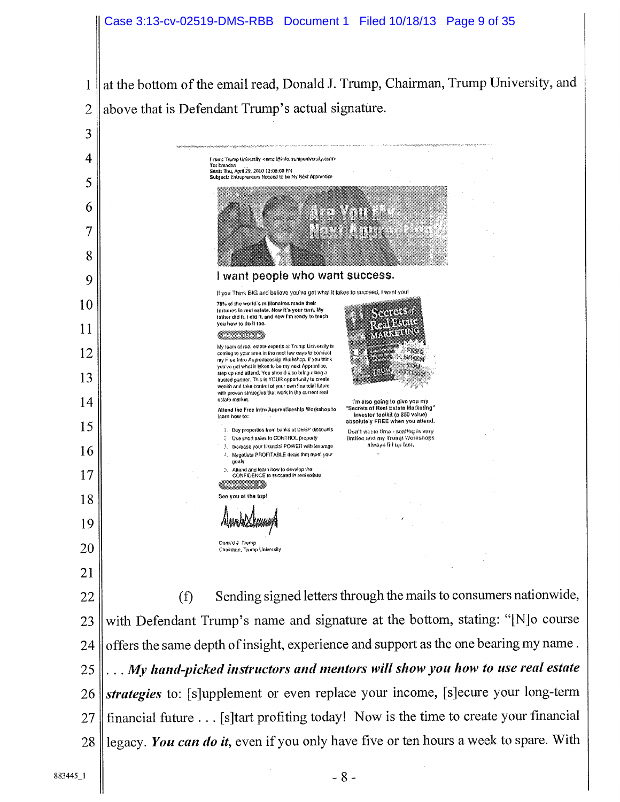at the bottom of the email read, Donald J. Trump, Chairman, Trump University, and  $\mathbf{1}$ above that is Defendant Trump's actual signature.  $\overline{2}$ 

3 4 From: Trump University <email@info.trumpuniversity.com><br>To: brandon To: brandon<br>Sent: Thu, April 29, 2010 12:06:00 PM<br>Subject: Entrepreneurs Needed to be My Next Apprentice 5 ---6 7 8 I want people who want success. 9 II you Think BIG and beliove you've got what it takes to succeed, I want youl 10 76% of the world's millionaires made their fortunes in real estate. Now it's your turn. My father did It. I did It, and new I'm ready to teach you how to do If too. iK coming to your area in the post for your mines of your cases.<br>Coming to your area in the post for your pound of your area in the post for your mines of your area in the post for your mines. 11 My team of real estate experts at Trump University is coming to your area in the next few days to conduct 12 my Free Intro Apprenticeship Workshop. If you think you've got what It takes to bony pout Apprentice, ,~ ,y' -, s r step up and attend, You shoold also bring along a . <sup>~</sup> £ s, <sup>r</sup> x,.,:.: . 13 Irusted partner. This Is YOUR opportunity to create<br>weaith and take control of your own financial future with proven stratogles that work in the current real<br>estate market. 14 t'm also going to give you my<br>Secrets of Real Estate Marketing Attend the Free Intro Apprenticeship Workshop to laarn how to: investor toolkit (a \$50 Value) absolutely FREE when you attend. 15 Buy proportios from banks at DEEP discounts of the abstract time - seating is very and the Contract of the Mori<br>Intitled and the State of The Hintled and my Trump Workshops United and my Trump Workshops<br>always fill up Inst. Increase your financle<sup>.</sup> POWER with leverage 16 Negotiate PROFITABLE deals that meet your peals Attand and taam how to develop the 17 CONFIDENCE to succeed in rent estate ▓▓▓▓ See you at the top! 18 19 Dona'd J Trump 20 Chairman, Trump University 21 (f) Sending signed letters through the mails to consumers nationwide, 22 with Defendant Trump's name and signature at the bottom, stating: "[N]o course 23 offers the same depth of insight, experience and support as the one bearing my name. 24 *. My hand-picked instructors and mentors will show you how to use real estate*  25 *strategies* to: [s]upplement or even replace your income, [s]ecure your long-term 26 financial future ... [s]tart profiting today! Now is the time to create your financial 27 legacy. *You can do it,* even if you only have five or ten hours a week to spare. With 28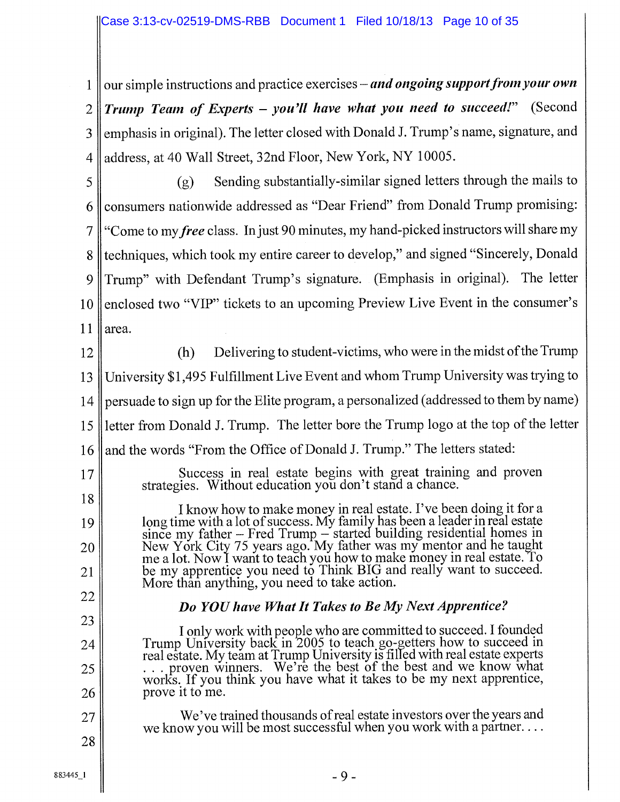1 || our simple instructions and practice exercises – *and ongoing support from your own* 2 *Trump Team of Experts — you'll have what you need to succeed!"* (Second 3 ||emphasis in original). The letter closed with Donald J. Trump's name, signature, and 4 address, at 40 Wall Street, 32nd Floor, New York, NY 10005.

5 6 7 8 9 10 11 (g) Sending substantially-similar signed letters through the mails to consumers nationwide addressed as "Dear Friend" from Donald Trump promising: "Come to my *free* class. In just 90 minutes, my hand-picked instructors will share my techniques, which took my entire career to develop," and signed "Sincerely, Donald Trump" with Defendant Trump's signature. (Emphasis in original). The letter enclosed two "VIP" tickets to an upcoming Preview Live Event in the consumer's area.

12

13

14 15 16 (h) Delivering to student-victims, who were in the midst of the Trump University \$1,495 Fulfillment Live Event and whom Trump University was trying to persuade to sign up for the Elite program, a personalized (addressed to them by name) letter from Donald J. Trump. The letter bore the Trump logo at the top of the letter and the words "From the Office of Donald J. Trump." The letters stated:

17

18

19

20

21

24

25

26

27

28

Success in real estate begins with great training and proven strategies. Without education you don't stand a chance.

I know how to make money in real estate. I've been doing it for a long time with a lot of success. My family has been a leader in real estate since my father — Fred Trump — started building residential homes in New York City 75 years ago. My father was my mentor and he taught me a lot. Now I want to teach you how to make money in real estate. fo be my apprentice you need to Think BIG and really want to succeed. More than anything, you need to take action.

# 22 23

## *Do YOU have What It Takes to Be My Next Apprentice?*

I only work with people who are committed to succeed. I founded Trump University back in 2005 to teach go-getters how to succeed in real estate. My team at Trump University is filled with real estate experts . proven winners. We're the best of the best and we know what works. If you think you have what it takes to be my next apprentice, prove it to me.

We've trained thousands of real estate investors over the years and we know you will be most successful when you work with a partner...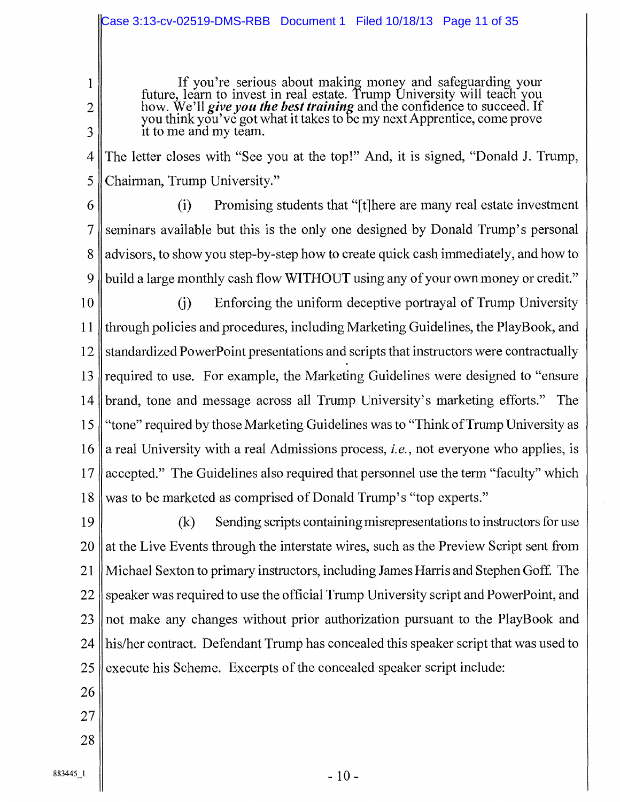#### Case 3:13-cv-02519-DMS-RBB Document 1 Filed 10/18/13 Page 11 of 35

If you're serious about making money and safeguarding your future, learn to invest in real estate. Trump University will teach you how. We'll *give you the best training* and the confidence to succeed. If you think you've got what it takes to be my next Apprentice, come prove it to me and my team.

4 5 The letter closes with "See you at the top!" And, it is signed, "Donald J. Trump, <sup>~</sup>Chairman, Trump University."

6

1

2

3

7 8 9 (i) Promising students that "[t]here are many real estate investment seminars available but this is the only one designed by Donald Trump's personal advisors, to show you step-by-step how to create quick cash immediately, and how to build a large monthly cash flow WITHOUT using any of your own money or credit."

10 11 12 13 14 15 16 17 18 (j) Enforcing the uniform deceptive portrayal of Trump University I through policies and procedures, including Marketing Guidelines, the PlayBook, and standardized PowerPoint presentations and scripts that instructors were contractually required to use. For example, the Marketing Guidelines were designed to "ensure" brand, tone and message across all Trump University's marketing efforts." The "tone" required by those Marketing Guidelines was to "Think of Trump University as a real University with a real Admissions process, *i.e.*, not everyone who applies, is accepted." The Guidelines also required that personnel use the term "faculty" which was to be marketed as comprised of Donald Trump 's "top experts."

19 20 21 22 23 24 25  $(k)$  Sending scripts containing misrepresentations to instructors for use at the Live Events through the interstate wires, such as the Preview Script sent from Michael Sexton to primary instructors, including James Harris and Stephen Goff. The speaker was required to use the official Trump University script and PowerPoint, and not make any changes without prior authorization pursuant to the PlayBook and his/her contract. Defendant Trump has concealed this speaker script that was used to execute his Scheme. Excerpts of the concealed speaker script include:

- 26
- 27,
- 
- 28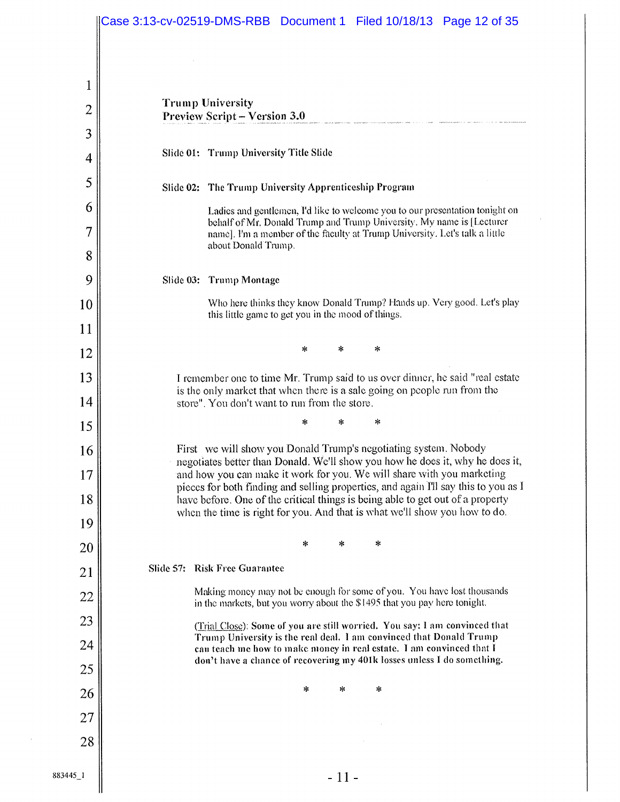|                     | Case 3:13-cv-02519-DMS-RBB  Document 1  Filed 10/18/13  Page 12 of 35                                                                                         |  |  |  |  |  |  |
|---------------------|---------------------------------------------------------------------------------------------------------------------------------------------------------------|--|--|--|--|--|--|
| 1<br>$\overline{2}$ | <b>Trump University</b><br><b>Preview Script – Version 3.0</b>                                                                                                |  |  |  |  |  |  |
| 3                   | Slide 01: Trump University Title Slide                                                                                                                        |  |  |  |  |  |  |
| 4                   |                                                                                                                                                               |  |  |  |  |  |  |
| 5                   | Slide 02: The Trump University Apprenticeship Program                                                                                                         |  |  |  |  |  |  |
| 6<br>7              | Ladies and gentlemen, I'd like to welcome you to our presentation tonight on<br>behalf of Mr. Donald Trump and Trump University. My name is [Lecturer         |  |  |  |  |  |  |
| 8                   | name]. I'm a member of the faculty at Trump University. Let's talk a little<br>about Donald Trump.                                                            |  |  |  |  |  |  |
| 9                   | Slide 03: Trump Montage                                                                                                                                       |  |  |  |  |  |  |
| 10                  | Who here thinks they know Donald Trump? Hands up. Very good. Let's play                                                                                       |  |  |  |  |  |  |
| 11                  | this little game to get you in the mood of things.                                                                                                            |  |  |  |  |  |  |
| 12                  | *<br>∗<br>*                                                                                                                                                   |  |  |  |  |  |  |
| 13                  | I remember one to time Mr. Trump said to us over dinner, he said "real estate"                                                                                |  |  |  |  |  |  |
| 14                  | is the only market that when there is a sale going on people run from the<br>store". You don't want to run from the store.                                    |  |  |  |  |  |  |
| 15                  | *<br>*<br>*                                                                                                                                                   |  |  |  |  |  |  |
| 16                  | First we will show you Donald Trump's negotiating system. Nobody<br>negotiates better than Donald. We'll show you how he does it, why he does it,             |  |  |  |  |  |  |
| 17                  | and how you can make it work for you. We will share with you marketing<br>pieces for both finding and selling properties, and again I'll say this to you as I |  |  |  |  |  |  |
| 18                  | have before. One of the critical things is being able to get out of a property<br>when the time is right for you. And that is what we'll show you how to do.  |  |  |  |  |  |  |
| 19                  |                                                                                                                                                               |  |  |  |  |  |  |
| 20                  | *<br>*<br>*                                                                                                                                                   |  |  |  |  |  |  |
| 21                  | <b>Risk Free Guarantee</b><br>Slide 57:                                                                                                                       |  |  |  |  |  |  |
| 22                  | Making money may not be enough for some of you. You have lost thousands<br>in the markets, but you worry about the \$1495 that you pay here tonight.          |  |  |  |  |  |  |
| 23                  | (Trial Close): Some of you are still worried. You say: I am convinced that<br>Trump University is the real deal. I am convinced that Donald Trump             |  |  |  |  |  |  |
| 24                  | can teach me how to make money in real estate. I am convinced that I<br>don't have a chance of recovering my 401k losses unless I do something.               |  |  |  |  |  |  |
| 25                  | *<br>*<br>*                                                                                                                                                   |  |  |  |  |  |  |
| 26                  |                                                                                                                                                               |  |  |  |  |  |  |
| 27<br>28            |                                                                                                                                                               |  |  |  |  |  |  |
|                     |                                                                                                                                                               |  |  |  |  |  |  |
| 883445 1            | - 11 -                                                                                                                                                        |  |  |  |  |  |  |

 $\hat{\mathcal{L}}$ 

 $\hat{\boldsymbol{\beta}}$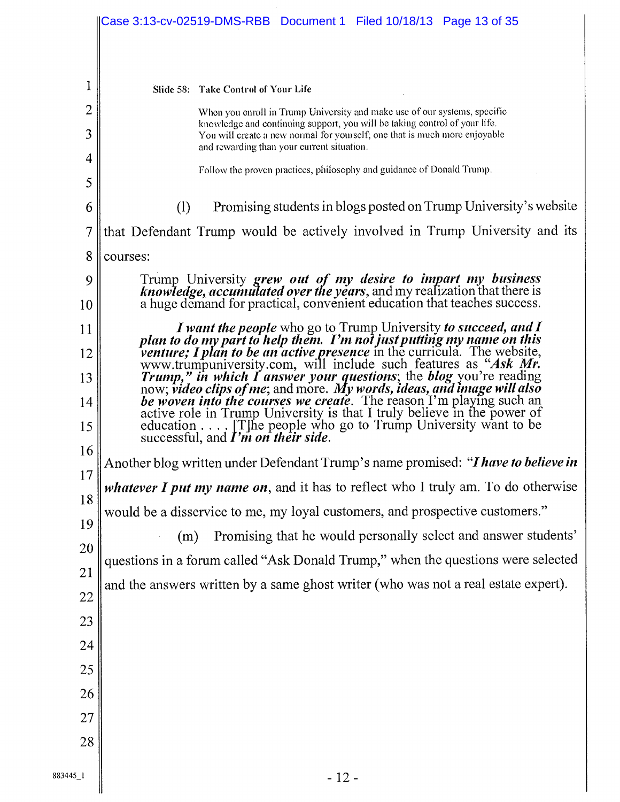|                | Case 3:13-cv-02519-DMS-RBB  Document 1  Filed 10/18/13  Page 13 of 35                                                                                                                                                                                                                         |  |  |  |  |  |  |  |  |
|----------------|-----------------------------------------------------------------------------------------------------------------------------------------------------------------------------------------------------------------------------------------------------------------------------------------------|--|--|--|--|--|--|--|--|
|                |                                                                                                                                                                                                                                                                                               |  |  |  |  |  |  |  |  |
|                |                                                                                                                                                                                                                                                                                               |  |  |  |  |  |  |  |  |
| 1              | Slide 58: Take Control of Your Life                                                                                                                                                                                                                                                           |  |  |  |  |  |  |  |  |
| $\overline{2}$ | When you enroll in Trump University and make use of our systems, specific<br>knowledge and continuing support, you will be taking control of your life.                                                                                                                                       |  |  |  |  |  |  |  |  |
| 3              | You will create a new normal for yourself; one that is much more enjoyable<br>and rewarding than your current situation.                                                                                                                                                                      |  |  |  |  |  |  |  |  |
| 4              | Follow the proven practices, philosophy and guidance of Donald Trump.                                                                                                                                                                                                                         |  |  |  |  |  |  |  |  |
| 5              |                                                                                                                                                                                                                                                                                               |  |  |  |  |  |  |  |  |
| 6              | Promising students in blogs posted on Trump University's website<br>(1)                                                                                                                                                                                                                       |  |  |  |  |  |  |  |  |
| 7              | that Defendant Trump would be actively involved in Trump University and its                                                                                                                                                                                                                   |  |  |  |  |  |  |  |  |
| 8              | courses:                                                                                                                                                                                                                                                                                      |  |  |  |  |  |  |  |  |
| 9              | Trump University grew out of my desire to impart my business knowledge, accumulated over the years, and my realization that there is                                                                                                                                                          |  |  |  |  |  |  |  |  |
| 10             | a huge demand for practical, convenient education that teaches success.                                                                                                                                                                                                                       |  |  |  |  |  |  |  |  |
| 11             |                                                                                                                                                                                                                                                                                               |  |  |  |  |  |  |  |  |
| 12             | I want the people who go to Trump University to succeed, and I plan to do my part to help them. I'm not just putting my name on this venture; I plan to be an active presence in the curricula. The website, www.trumpuniversi                                                                |  |  |  |  |  |  |  |  |
| 13             | Trump," in which I answer your questions; the blog you're reading<br>now; video clips of me; and more. My words, ideas, and image will also<br>be woven into the courses we create. The reason I'm playing such an<br>active role in Trump University is that I truly believe in the power of |  |  |  |  |  |  |  |  |
| 14             |                                                                                                                                                                                                                                                                                               |  |  |  |  |  |  |  |  |
| 15             | education [T] he people who go to Trump University want to be<br>successful, and $\Gamma$ <i>m</i> on their side.                                                                                                                                                                             |  |  |  |  |  |  |  |  |
| 16             |                                                                                                                                                                                                                                                                                               |  |  |  |  |  |  |  |  |
| 17             | Another blog written under Defendant Trump's name promised: "I have to believe in                                                                                                                                                                                                             |  |  |  |  |  |  |  |  |
| 18             | whatever I put my name on, and it has to reflect who I truly am. To do otherwise                                                                                                                                                                                                              |  |  |  |  |  |  |  |  |
| 19             | would be a disservice to me, my loyal customers, and prospective customers."                                                                                                                                                                                                                  |  |  |  |  |  |  |  |  |
| 20             | Promising that he would personally select and answer students'<br>(m)                                                                                                                                                                                                                         |  |  |  |  |  |  |  |  |
| 21             | questions in a forum called "Ask Donald Trump," when the questions were selected                                                                                                                                                                                                              |  |  |  |  |  |  |  |  |
| 22             | and the answers written by a same ghost writer (who was not a real estate expert).                                                                                                                                                                                                            |  |  |  |  |  |  |  |  |
| 23             |                                                                                                                                                                                                                                                                                               |  |  |  |  |  |  |  |  |
| 24             |                                                                                                                                                                                                                                                                                               |  |  |  |  |  |  |  |  |
| 25             |                                                                                                                                                                                                                                                                                               |  |  |  |  |  |  |  |  |
| 26             |                                                                                                                                                                                                                                                                                               |  |  |  |  |  |  |  |  |
| 27             |                                                                                                                                                                                                                                                                                               |  |  |  |  |  |  |  |  |
| 28             |                                                                                                                                                                                                                                                                                               |  |  |  |  |  |  |  |  |
|                |                                                                                                                                                                                                                                                                                               |  |  |  |  |  |  |  |  |
|                |                                                                                                                                                                                                                                                                                               |  |  |  |  |  |  |  |  |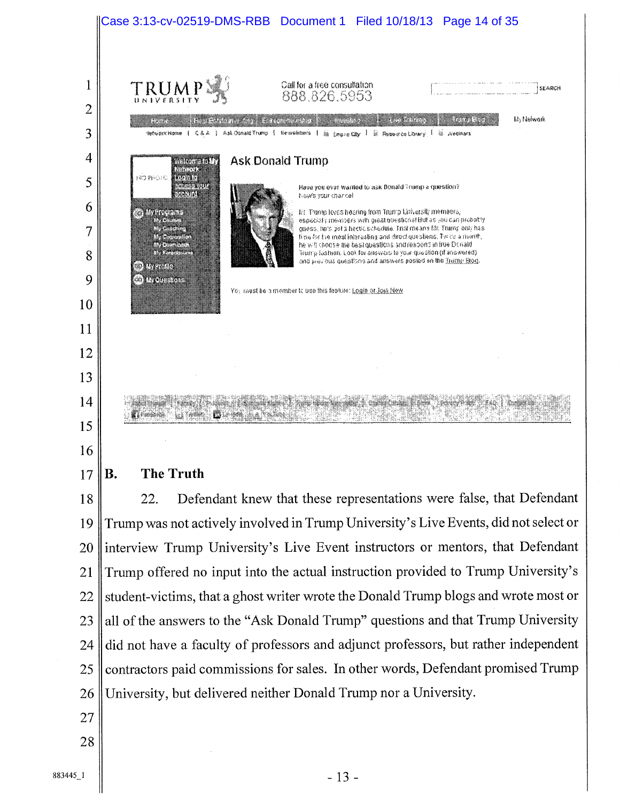

B. The Truth

18 19 20 21 22 23 24 25 26 22. Defendant knew that these representations were false, that Defendant Trump was not actively involved in Trump University's Live Events, did not select or interview Trump University's Live Event instructors or mentors, that Defendant Trump offered no input into the actual instruction provided to Trump University's student-victims, that a ghost writer wrote the Donald Trump blogs and wrote most or all of the answers to the "Ask Donald Trump" questions and that Trump University did not have a faculty of professors and adjunct professors, but rather independent contractors paid commissions for sales. In other words, Defendant promised Trump University, but delivered neither Donald Trump nor a University.

- 27
- 28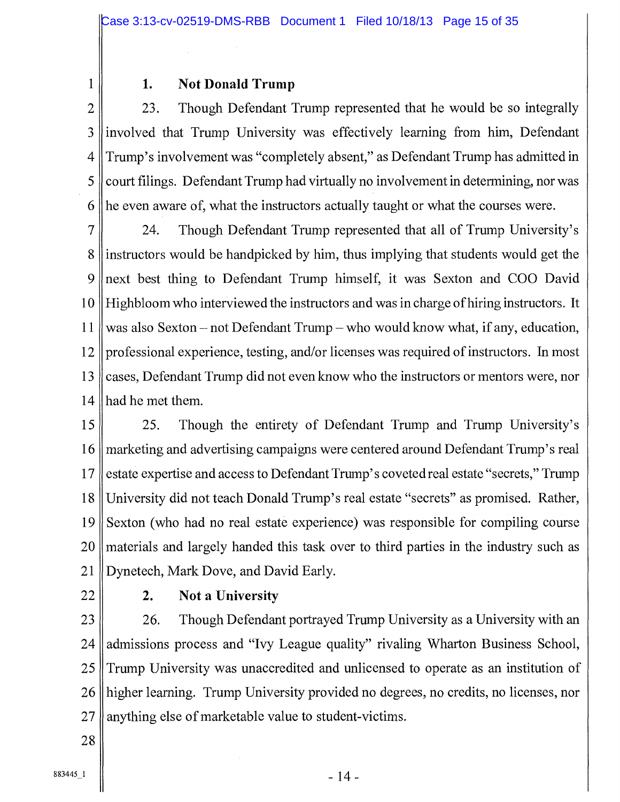#### 1 1. Not Donald Trump

2 23. Though Defendant Trump represented that he would be so integrally 3 involved that Trump University was effectively learning from him, Defendant 4 Trump's involvement was "completely absent," as Defendant Trump has admitted in  $5$  court filings. Defendant Trump had virtually no involvement in determining, nor was 6 he even aware of, what the instructors actually taught or what the courses were.

7 24. Though Defendant Trump represented that all of Trump University's 8 instructors would be handpicked by him, thus implying that students would get the 9 next best thing to Defendant Trump himself, it was Sexton and COO David 10 Highbloom who interviewed the instructors and was in charge of hiring instructors. It 11 was also Sexton — not Defendant Trump — who would know what, if any, education, 12 professional experience, testing, and/or licenses was required of instructors. In most 13 cases, Defendant Trump did not even know who the instructors or mentors were, nor 14 had he met them.

15 25. Though the entirety of Defendant Trump and Trump University's 16 marketing and advertising campaigns were centered around Defendant Trump's real 17 estate expertise and access to Defendant Trump's coveted real estate "secrets," Trump 18 University did not teach Donald Trump's real estate "secrets" as promised. Rather, 19 Sexton (who had no real estate experience) was responsible for compiling course 20 materials and largely handed this task over to third parties in the industry such as 21 | Dynetech, Mark Dove, and David Early.

## $22 \parallel$  2. Not a University

23 26. Though Defendant portrayed Trump University as a University with an 24 admissions process and "Ivy League quality" rivaling Wharton Business School, 25 Trump University was unaccredited and unlicensed to operate as an institution of 26 higher learning. Trump University provided no degrees, no credits, no licenses, nor 27 || anything else of marketable value to student-victims.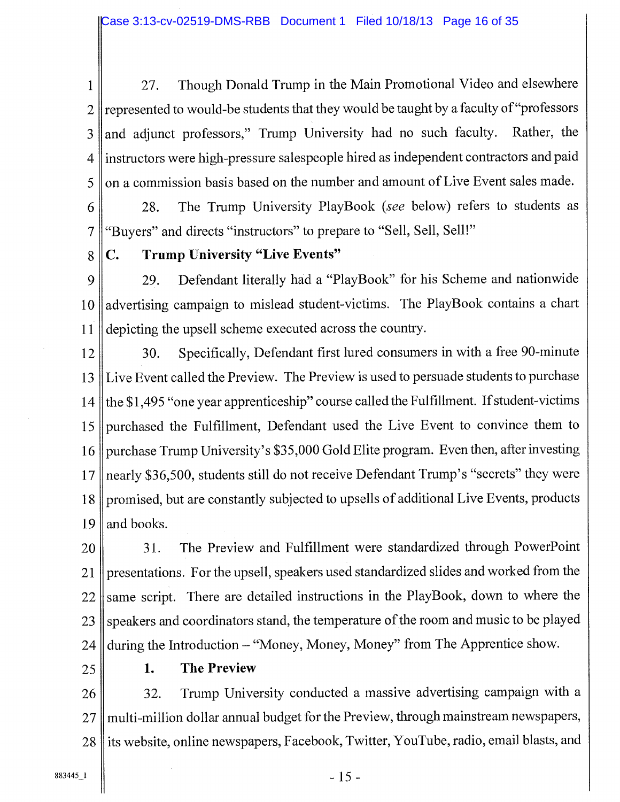1 27. Though Donald Trump in the Main Promotional Video and elsewhere  $2 \parallel$  represented to would-be students that they would be taught by a faculty of "professors"  $3$  and adjunct professors," Trump University had no such faculty. Rather, the 4 instructors were high-pressure salespeople hired as independent contractors and paid  $5 \parallel$  on a commission basis based on the number and amount of Live Event sales made.

6 28. The Trump University PlayBook *(see* below) refers to students as 7 "Buyers" and directs "instructors" to prepare to "Sell, Sell, Sell!"

## 8 C. Trump University "Live Events"

9 29. Defendant literally had a "PlayBook" for his Scheme and nationwide 10 advertising campaign to mislead student-victims. The PlayBook contains a chart 11 depicting the upsell scheme executed across the country.

12 30. Specifically, Defendant first lured consumers in with a free 90-minute 13 Live Event called the Preview. The Preview is used to persuade students to purchase 14 the  $$1,495$  "one year apprenticeship" course called the Fulfillment. If student-victims 15 purchased the Fulfillment, Defendant used the Live Event to convince them to 16 || purchase Trump University's \$35,000 Gold Elite program. Even then, after investing 17 || nearly \$36,500, students still do not receive Defendant Trump's "secrets" they were 18 promised, but are constantly subjected to upsells of additional Live Events, products  $19$  and books.

20 31. The Preview and Fulfillment were standardized through PowerPoint 21 presentations. For the upsell, speakers used standardized slides and worked from the  $22$  same script. There are detailed instructions in the PlayBook, down to where the 23 || speakers and coordinators stand, the temperature of the room and music to be played 24 during the Introduction - "Money, Money, Money" from The Apprentice show.

#### 25 1. The Preview

26 32. Trump University conducted a massive advertising campaign with a 27 || multi-million dollar annual budget for the Preview, through mainstream newspapers, 28 lits website, online newspapers, Facebook, Twitter, YouTube, radio, email blasts, and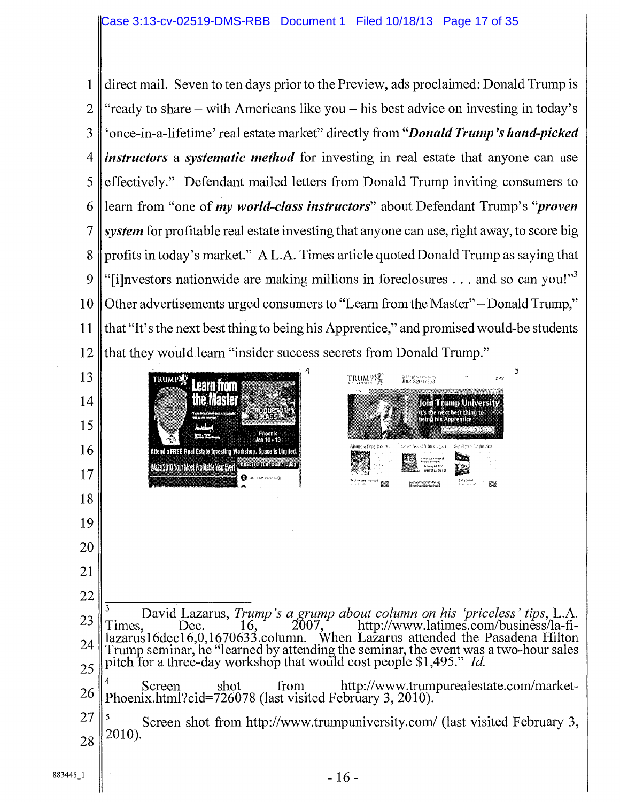direct mail. Seven to ten days prior to the Preview, ads proclaimed: Donald Trump is "ready to share — with Americans like you — his best advice on investing in today's `once-in-a-lifetime' real estate market" directly from *"Donald Trump's hand-picked instructors* a *systematic method* for investing in real estate that anyone can use effectively." Defendant mailed letters from Donald Trump inviting consumers to learn from "one of *my world-class instructors"* about Defendant Trump's *"proven*  system for profitable real estate investing that anyone can use, right away, to score big profits in today's market." A L.A. Times article quoted Donald Trump as saying that "[i]nvestors nationwide are making millions in foreclosures  $\dots$  and so can you!"<sup>3</sup> Other advertisements urged consumers to "Learn from the Master" — Donald Trump," that "It's the next best thing to being his Apprentice," and promised would-be students that they would learn "insider success secrets from Donald Trump." 

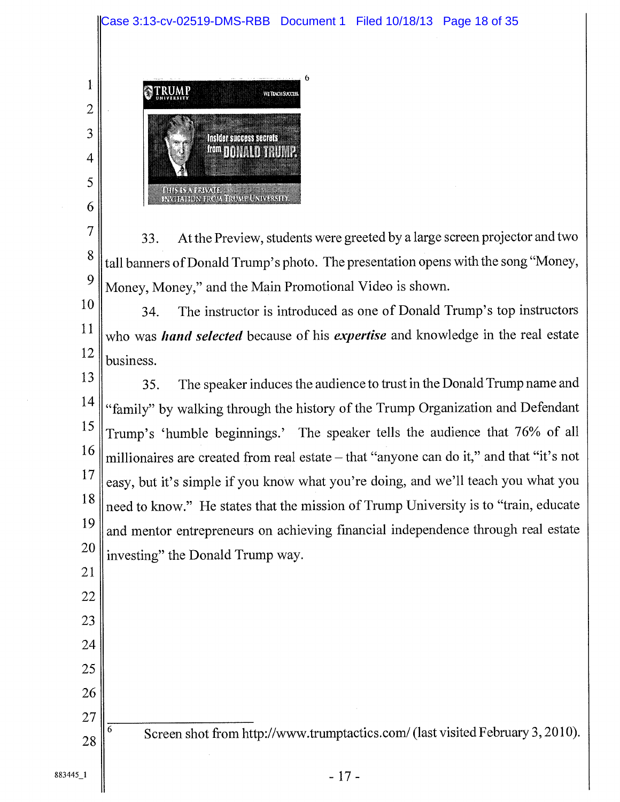

 $\overline{4}$ 

33. At the Preview, students were greeted by a large screen projector and two tall banners of Donald Trump's photo. The presentation opens with the song "Money, Money, Money," and the Main Promotional Video is shown. 

34. The instructor is introduced as one of Donald Trump's top instructors who was *hand selected* because of his *expertise* and knowledge in the real estate business. 

35. The speaker induces the audience to trust in the Donald Trump name and "family" by walking through the history of the Trump Organization and Defendant Trump's 'humble beginnings.' The speaker tells the audience that 76% of all millionaires are created from real estate — that "anyone can do it," and that "it's not easy, but it's simple if you know what you're doing, and we'll teach you what you need to know." He states that the mission of Trump University is to "train, educate and mentor entrepreneurs on achieving financial independence through real estate investing" the Donald Trump way. 

 $\frac{1}{6}$  Screen shot from http://www.trumptactics.com/ (last visited February 3, 2010).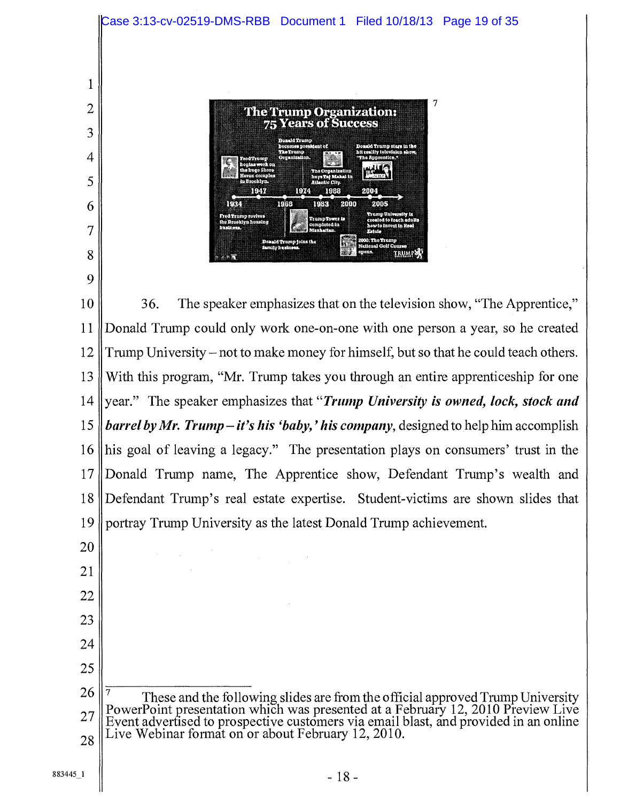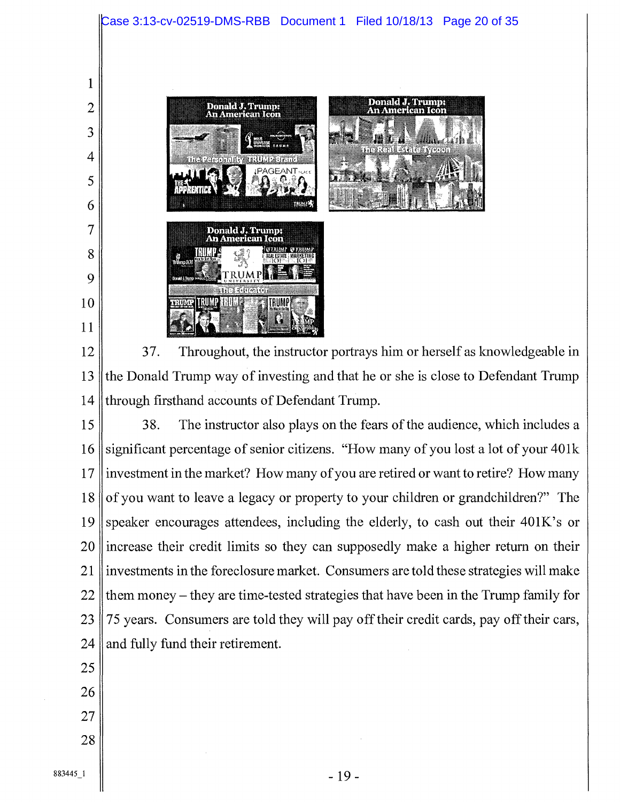

 37. Throughout, the instructor portrays him or herself as knowledgeable in the Donald Trump way of investing and that he or she is close to Defendant Trump through firsthand accounts of Defendant Trump.

 38. The instructor also plays on the fears of the audience, which includes a significant percentage of senior citizens. "How many of you lost a lot of your 401k investment in the market? How many of you are retired or want to retire? How many of you want to leave a legacy or property to your children or grandchildren?" The speaker encourages attendees, including the elderly, to cash out their 401K's or increase their credit limits so they can supposedly make a higher return on their investments in the foreclosure market. Consumers are told these strategies will make them money — they are time-tested strategies that have been in the Trump family for 75 years. Consumers are told they will pay off their credit cards, pay off their cars, and fully fund their retirement.

- 
- 
- 
-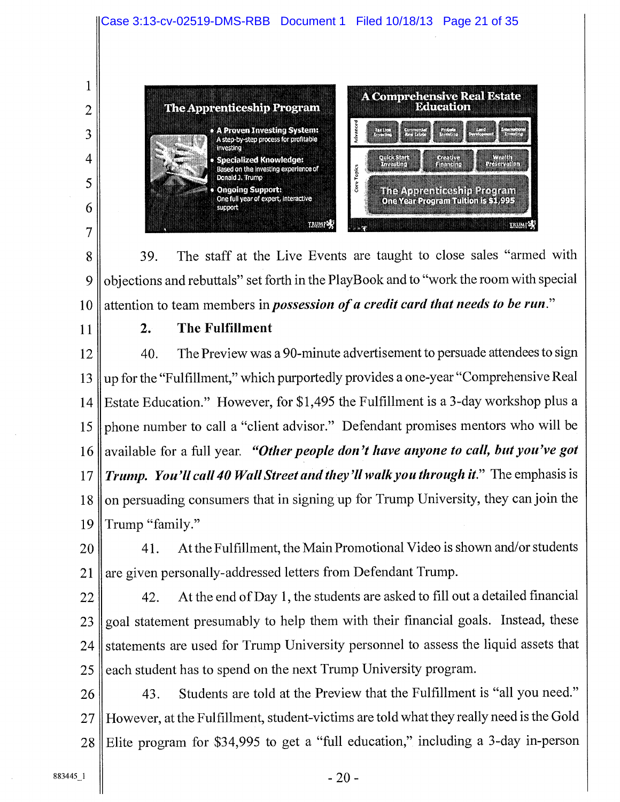

39. The staff at the Live Events are taught to close sales "armed with objections and rebuttals" set forth in the PlayBook and to "work the room with special attention to team members in *possession of a credit card that needs to be run."*  8 9 10

11

## 2. The Fulfillment

40. The Preview was a 90-minute advertisement to persuade attendees to sign up for the "Fulfillment," which purportedly provides a one-year "Comprehensive Real Estate Education." However, for \$1,495 the Fulfillment is a 3-day workshop plus a phone number to call a "client advisor." Defendant promises mentors who will be available for a full year. *"Other people don't have anyone to call, but you've got Trump. You'll call 40 Wall Street and they'll walk you through it."* The emphasis is on persuading consumers that in signing up for Trump University, they can join the Trump "family." 12 13 14 15 16 17 18 19

41. At the Fulfillment, the Main Promotional Video is shown and/or students are given personally-addressed letters from Defendant Trump. 20 21

22

42. At the end of Day 1, the students are asked to fill out a detailed financial goal statement presumably to help them with their financial goals. Instead, these statements are used for Trump University personnel to assess the liquid assets that each student has to spend on the next Trump University program. 23 24 25

43. Students are told at the Preview that the Fulfillment is "all you need." However, at the Fulfillment, student-victims are told what they really need is the Gold Elite program for \$34,995 to get a "full education," including a 3-day in-person 26 27 28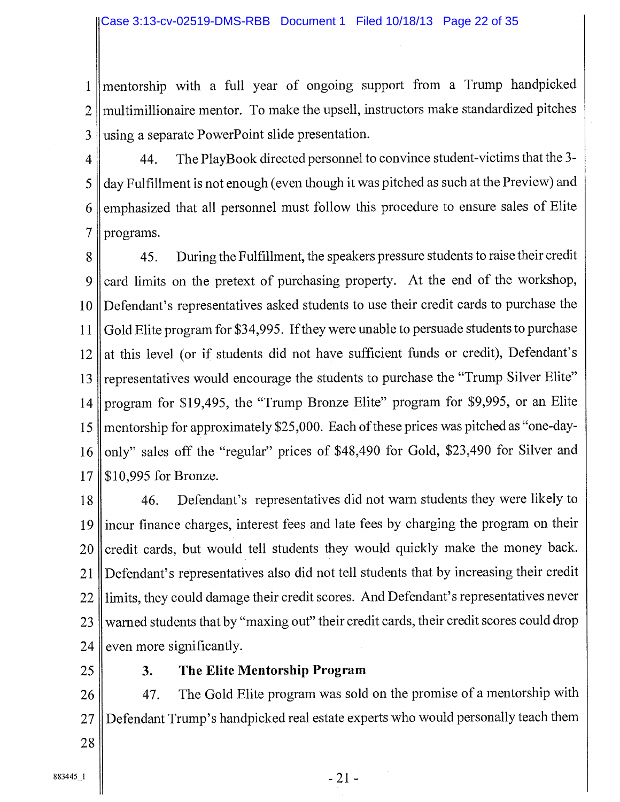1 2 3 mentorship with a full year of ongoing support from a Trump handpicked multimillionaire mentor. To make the upsell, instructors make standardized pitches using a separate PowerPoint slide presentation.

4 5 6 7 44. The PlayBook directed personnel to convince student-victims that the 3 day Fulfillment is not enough (even though it was pitched as such at the Preview) and emphasized that all personnel must follow this procedure to ensure sales of Elite programs.

45. During the Fulfillment, the speakers pressure students to raise their credit 8 card limits on the pretext of purchasing property. At the end of the workshop, 9 Defendant's representatives asked students to use their credit cards to purchase the 10 Gold Elite program for \$34,995. If they were unable to persuade students to purchase 11 at this level (or if students did not have sufficient funds or credit), Defendant's 12 representatives would encourage the students to purchase the "Trump Silver Elite" 13 program for \$19,495, the "Trump Bronze Elite" program for \$9,995, or an Elite 14 mentorship for approximately \$25,000. Each of these prices was pitched as "one-day-15 only" sales off the "regular" prices of \$48,490 for Gold, \$23,490 for Silver and *16*  \$10,995 for Bronze. 17

18 19 20 21 22 23 24 46. Defendant's representatives did not warn students they were likely to incur finance charges, interest fees and late fees by charging the program on their credit cards, but would tell students they would quickly make the money back. Defendant's representatives also did not tell students that by increasing their credit limits, they could damage their credit scores. And Defendant's representatives never warned students that by "maxing out" their credit cards, their credit scores could drop even more significantly.

25

## 3. The Elite Mentorship Program

26 27 47. The Gold Elite program was sold on the promise of a mentorship with Defendant Trump's handpicked real estate experts who would personally teach them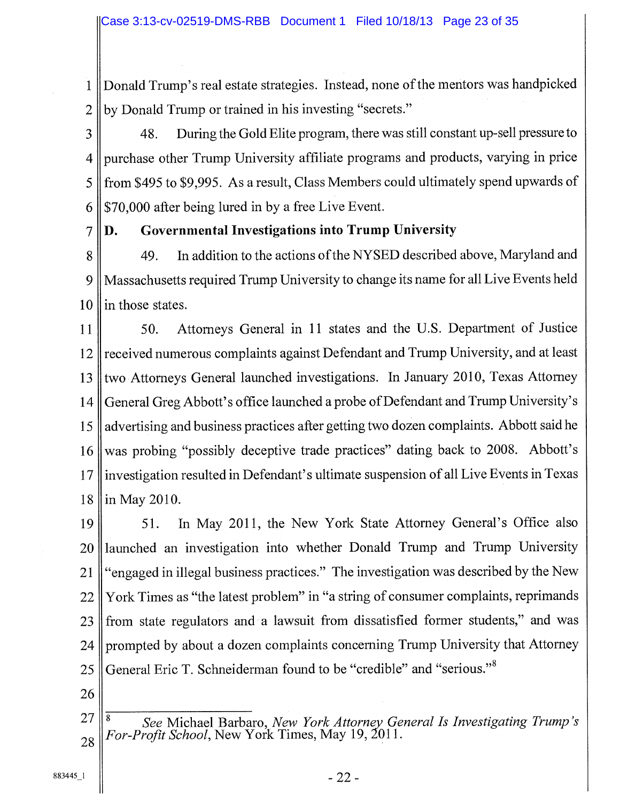Donald Trump's real estate strategies. Instead, none of the mentors was handpicked by Donald Trump or trained in his investing "secrets." 1 2

48. During the Gold Elite program, there was still constant up-sell pressure to purchase other Trump University affiliate programs and products, varying in price from \$495 to \$9,995. As a result, Class Members could ultimately spend upwards of \$70,000 after being lured in by a free Live Event. 3 4 5 6

D. Governmental Investigations into Trump University 7

49. In addition to the actions of the NYSED described above, Maryland and Massachusetts required Trump University to change its name for all Live Events held in those states. 8 9 10

50. Attorneys General in 11 states and the U.S. Department of Justice received numerous complaints against Defendant and Trump University, and at least two Attorneys General launched investigations. In January 2010, Texas Attorney General Greg Abbott's office launched a probe of Defendant and Trump University's advertising and business practices after getting two dozen complaints. Abbott said he was probing "possibly deceptive trade practices" dating back to 2008. Abbott's investigation resulted in Defendant's ultimate suspension of all Live Events in Texas in May 2010. 11 12 13 14 *15*  16 17 18

51. In May 2011, the New York State Attorney General's Office also launched an investigation into whether Donald Trump and Trump University "engaged in illegal business practices." The investigation was described by the New York Times as "the latest problem" in "a string of consumer complaints, reprimands from state regulators and a lawsuit from dissatisfied former students," and was prompted by about a dozen complaints concerning Trump University that Attorney General Eric T. Schneiderman found to be "credible" and "serious."<sup>8</sup> 19 20 21 22 23 24 25

- 26
- *<sup>8</sup>See* Michael Barbaro, *New York Attorney General Is Investigating Trump's For-Profit School,* New York Times, May 19, 2011. 27 28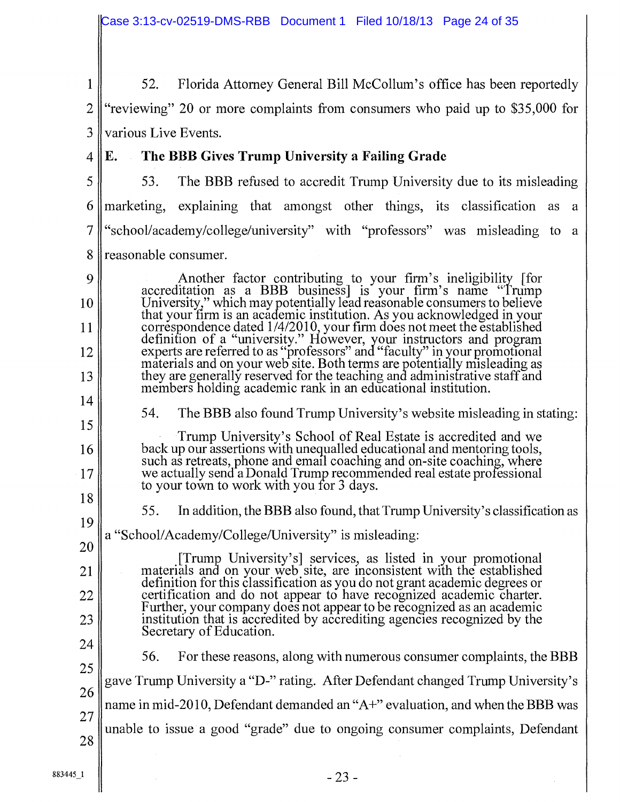52. Florida Attorney General Bill McCollum's office has been reportedly 1 2 "reviewing" 20 or more complaints from consumers who paid up to \$35,000 for 3 various Live Events.

4

9

10

11

12

13

## E. The BBB Gives Trump University a Failing Grade

- 5 6 7 8 53. The BBB refused to accredit Trump University due to its misleading marketing, explaining that amongst other things, its classification as a "school/academy/college/university" with "professors" was misleading to a reasonable consumer.
	- Another factor contributing to your firm's ineligibility [for accreditation as a BBB business] is your firm's name "Trump University," which may potentially lead reasonable consumers to believe that your firm is an academic institution. As you acknowledged in your correspondence dated 1/4/2010, your firm does not meet the established definition of a "university." However, your instructors and program experts are referred to as "professors" and "faculty" in your promotional materials and on your web site. Both terms are potentially misleading as they are generally reserved for the teaching and administrative staff and members holding academic rank in an educational institution.
- 14 15

16

17

- 54. The BBB also found Trump University's website misleading in stating:
- Trump University's School of Real Estate is accredited and we back up our assertions with unequalled educational and mentoring tools, such as retreats, phone and email coaching and on-site coaching, where we actually send a Donald Trump recommended real estate professional to your town to work with you for 3 days.
- 18 19

20

21

22

23

- 55. In addition, the BBB also found, that Trump University's classification as
- a "School/Academy/College/University" is misleading:
	- [Trump University's] services, as listed in your promotional materials and on your web site, are inconsistent with the established definition for this classification as you do not grant academic degrees or certification and do not appear to have recognized academic charter. Further, your company does not appear to be recognized as an academic institution that is accredited by accrediting agencies recognized by the Secretary of Education.
- 24 25

26

27

28

56. For these reasons, along with numerous consumer complaints, the BBB gave Trump University a "D-" rating. After Defendant changed Trump University's name in mid-2010, Defendant demanded an "A+" evaluation, and when the BBB was <sup>~</sup>unable to issue a good "grade" due to ongoing consumer complaints, Defendant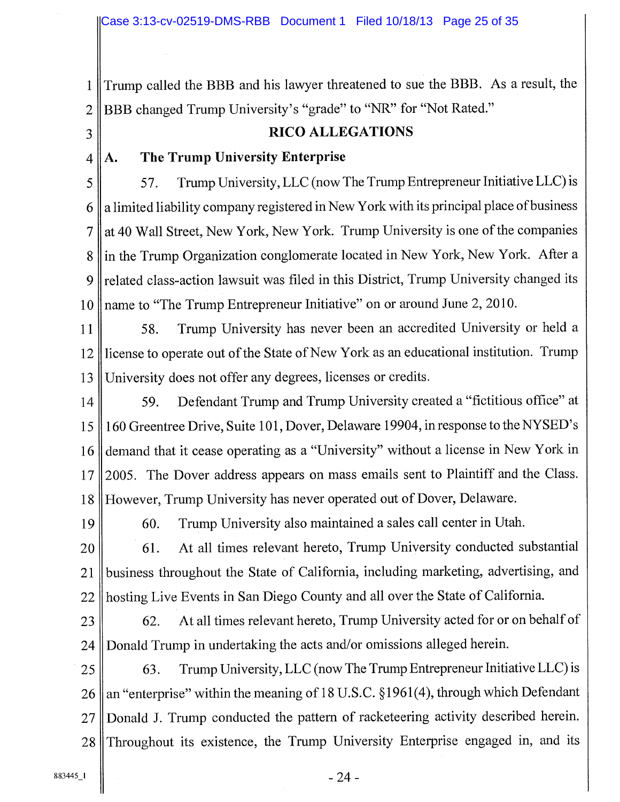<sup>11</sup>Trump called the BBB and his lawyer threatened to sue the BBB. As a result, the 2 || BBB changed Trump University's "grade" to "NR" for "Not Rated."

## 3 RICO ALLEGATIONS

## $4 \parallel A$ . The Trump University Enterprise

5 57. Trump University, LLC (now The Trump Entrepreneur Initiative LLC) is  $6 \parallel a$  limited liability company registered in New York with its principal place of business 7 || at 40 Wall Street, New York, New York. Trump University is one of the companies 8 || in the Trump Organization conglomerate located in New York, New York. After a 9 related class-action lawsuit was filed in this District, Trump University changed its 10 || name to "The Trump Entrepreneur Initiative" on or around June 2, 2010.

11 || 58. Trump University has never been an accredited University or held a 12 || license to operate out of the State of New York as an educational institution. Trump 13 University does not offer any degrees, licenses or credits.

14 59. Defendant Trump and Trump University created a "fictitious office" at 15 160 Greentree Drive, Suite 101, Dover, Delaware 19904, in response to the NYSED's 16 demand that it cease operating as a "University" without a license in New York in 17 || 2005. The Dover address appears on mass emails sent to Plaintiff and the Class. 18 However, Trump University has never operated out of Dover, Delaware.

19 60. Trump University also maintained a sales call center in Utah.

20 61. At all times relevant hereto, Trump University conducted substantial 21 business throughout the State of California, including marketing, advertising, and 22 || hosting Live Events in San Diego County and all over the State of California.

23 62. At all times relevant hereto, Trump University acted for or on behalf of 24 || Donald Trump in undertaking the acts and/or omissions alleged herein.

 $25$  63. Trump University, LLC (now The Trump Entrepreneur Initiative LLC) is 26 || an "enterprise" within the meaning of 18 U.S.C.  $\S 1961(4)$ , through which Defendant 27 || Donald J. Trump conducted the pattern of racketeering activity described herein. 28 Throughout its existence, the Trump University Enterprise engaged in, and its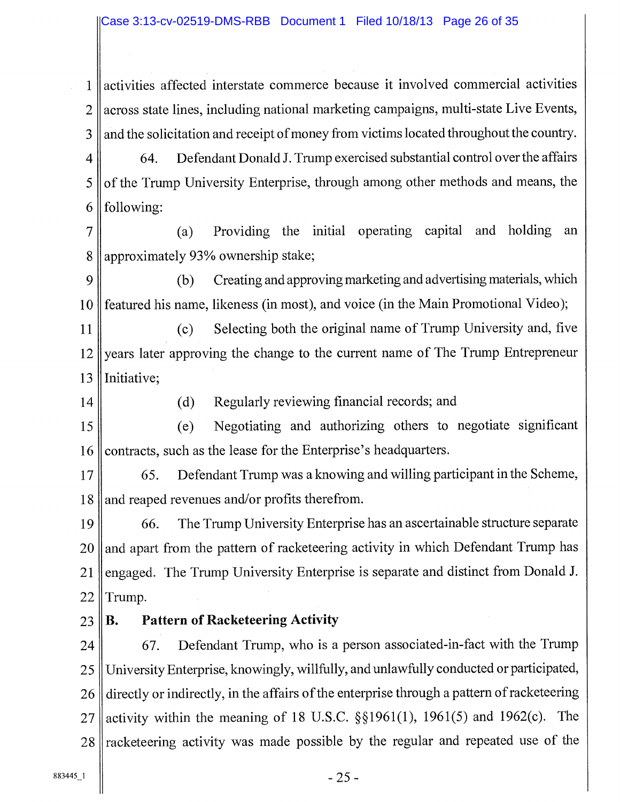1 activities affected interstate commerce because it involved commercial activities 2 || across state lines, including national marketing campaigns, multi-state Live Events,  $3 \parallel$  and the solicitation and receipt of money from victims located throughout the country.

4 64. Defendant Donald J. Trump exercised substantial control over the affairs  $5 \parallel$  of the Trump University Enterprise, through among other methods and means, the 6  $\blacksquare$  following:

7 (a) Providing the initial operating capital and holding an 8 approximately 93% ownership stake;

9 (b) Creating and approving marketing and advertising materials, which 10 featured his name, likeness (in most), and voice (in the Main Promotional Video);

11 (c) Selecting both the original name of Trump University and, five 12 years later approving the change to the current name of The Trump Entrepreneur 13 | Initiative;

14 (d) Regularly reviewing financial records; and

15 (e) Negotiating and authorizing others to negotiate significant 16 contracts, such as the lease for the Enterprise's headquarters.

17 65. Defendant Trump was a knowing and willing participant in the Scheme, 18 and reaped revenues and/or profits therefrom.

19 66. The Trump University Enterprise has an ascertainable structure separate  $20$  and apart from the pattern of racketeering activity in which Defendant Trump has 21 || engaged. The Trump University Enterprise is separate and distinct from Donald J.  $22$  Trump.

## $23$  B. Pattern of Racketeering Activity

 $24$   $\parallel$  67. Defendant Trump, who is a person associated-in-fact with the Trump 25 University Enterprise, knowingly, willfully, and unlawfully conducted or participated, 26 directly or indirectly, in the affairs of the enterprise through a pattern of racketeering 27 || activity within the meaning of 18 U.S.C.  $\S$ §1961(1), 1961(5) and 1962(c). The  $28$  racketeering activity was made possible by the regular and repeated use of the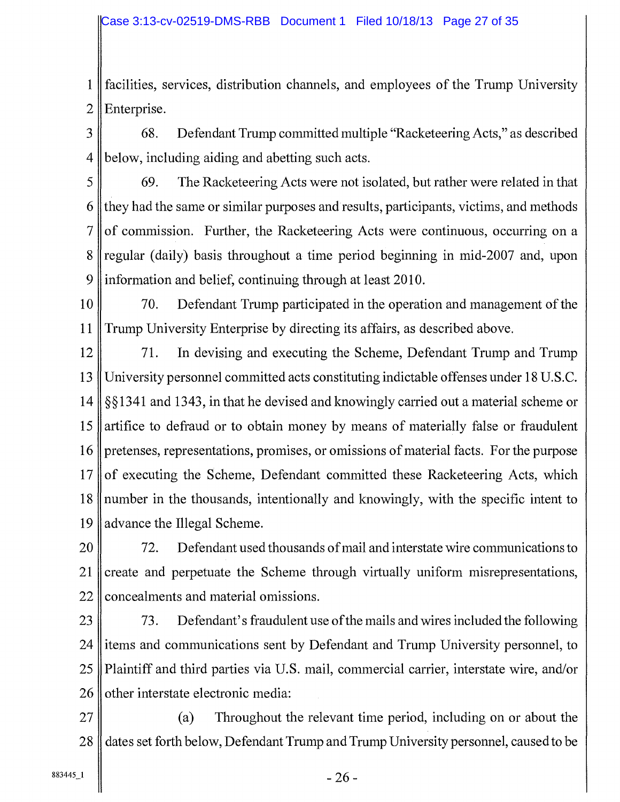<sup>1</sup>~ facilities, services, distribution channels, and employees of the Trump University  $2$  Enterprise.

3 68. Defendant Trump committed multiple "Racketeering Acts," as described 4 below, including aiding and abetting such acts.

5 69. The Racketeering Acts were not isolated, but rather were related in that 6 they had the same or similar purposes and results, participants, victims, and methods  $7 \parallel$  of commission. Further, the Racketeering Acts were continuous, occurring on a 8 regular (daily) basis throughout a time period beginning in mid-2007 and, upon 9 information and belief, continuing through at least 2010.

10 70. Defendant Trump participated in the operation and management of the 11 Trump University Enterprise by directing its affairs, as described above.

12<sup> $\parallel$ </sup> 71. In devising and executing the Scheme, Defendant Trump and Trump <sup>13</sup>University personnel committed acts constituting indictable offenses under 18 U.S.C. 14 § § 1341 and 1343, in that he devised and knowingly carried out a material scheme or 15 artifice to defraud or to obtain money by means of materially false or fraudulent 16 pretenses, representations, promises, or omissions of material facts. For the purpose  $17$  of executing the Scheme, Defendant committed these Racketeering Acts, which  $18$  number in the thousands, intentionally and knowingly, with the specific intent to 19 advance the Illegal Scheme.

20 **72.** Defendant used thousands of mail and interstate wire communications to 21 create and perpetuate the Scheme through virtually uniform misrepresentations, 22 concealments and material omissions.

  $\parallel$  73. Defendant's fraudulent use of the mails and wires included the following litems and communications sent by Defendant and Trump University personnel, to Plaintiff and third parties via U.S. mail, commercial carrier, interstate wire, and/or other interstate electronic media:

27 (a) Throughout the relevant time period, including on or about the 28 dates set forth below, Defendant Trump and Trump University personnel, caused to be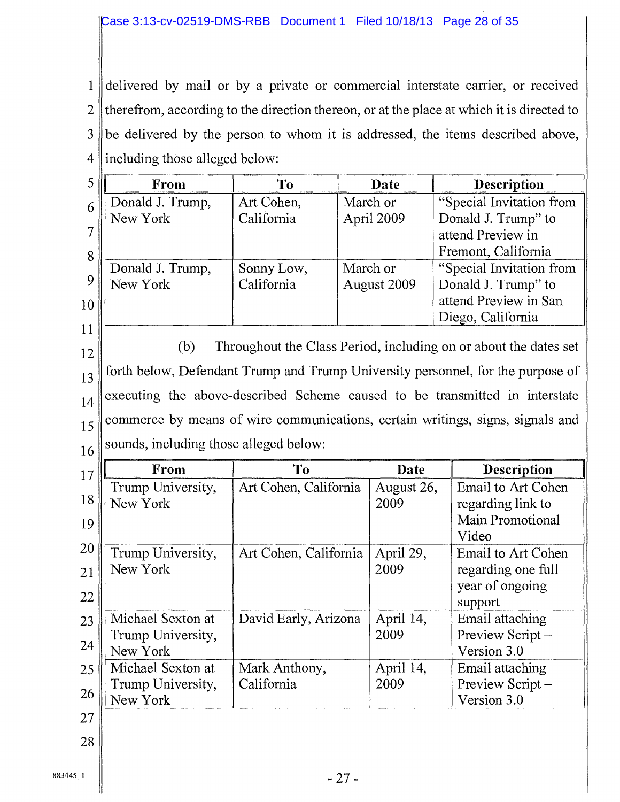delivered by mail or by a private or commercial interstate carrier, or received therefrom, according to the direction thereon, or at the place at which it is directed to be delivered by the person to whom it is addressed, the items described above, ||including those alleged below: 1 2 3 4

|    | From             | Tо         | Date        | <b>Description</b>       |  |  |  |  |
|----|------------------|------------|-------------|--------------------------|--|--|--|--|
| 6  | Donald J. Trump, | Art Cohen, | March or    | "Special Invitation from |  |  |  |  |
|    | New York         | California | April 2009  | Donald J. Trump" to      |  |  |  |  |
|    |                  |            |             | attend Preview in        |  |  |  |  |
| 8  |                  |            |             | Fremont, California      |  |  |  |  |
|    | Donald J. Trump, | Sonny Low, | March or    | "Special Invitation from |  |  |  |  |
|    | New York         | California | August 2009 | Donald J. Trump" to      |  |  |  |  |
| 10 |                  |            |             | attend Preview in San    |  |  |  |  |
|    |                  |            |             | Diego, California        |  |  |  |  |
| 11 |                  |            |             |                          |  |  |  |  |

(b) Throughout the Class Period, including on or about the dates set forth below, Defendant Trump and Trump University personnel, for the purpose of executing the above-described Scheme caused to be transmitted in interstate commerce by means of wire communications, certain writings, signs, signals and  $16$  sounds, including those alleged below: 12 13 14 15

| 17 | From              | To                    | Date       | <b>Description</b>        |  |  |
|----|-------------------|-----------------------|------------|---------------------------|--|--|
|    | Trump University, | Art Cohen, California | August 26, | Email to Art Cohen        |  |  |
| 18 | New York          |                       | 2009       | regarding link to         |  |  |
| 19 |                   |                       |            | Main Promotional          |  |  |
|    |                   |                       |            | Video                     |  |  |
| 20 | Trump University, | Art Cohen, California | April 29,  | <b>Email to Art Cohen</b> |  |  |
| 21 | New York          |                       | 2009       | regarding one full        |  |  |
| 22 |                   |                       |            | year of ongoing           |  |  |
|    |                   |                       |            | support                   |  |  |
| 23 | Michael Sexton at | David Early, Arizona  | April 14,  | Email attaching           |  |  |
| 24 | Trump University, |                       | 2009       | Preview Script-           |  |  |
|    | New York          |                       |            | Version 3.0               |  |  |
| 25 | Michael Sexton at | Mark Anthony,         | April 14,  | Email attaching           |  |  |
| 26 | Trump University, | California            | 2009       | Preview Script-           |  |  |
|    | New York          |                       |            | Version 3.0               |  |  |
| 27 |                   |                       |            |                           |  |  |
| 28 |                   |                       |            |                           |  |  |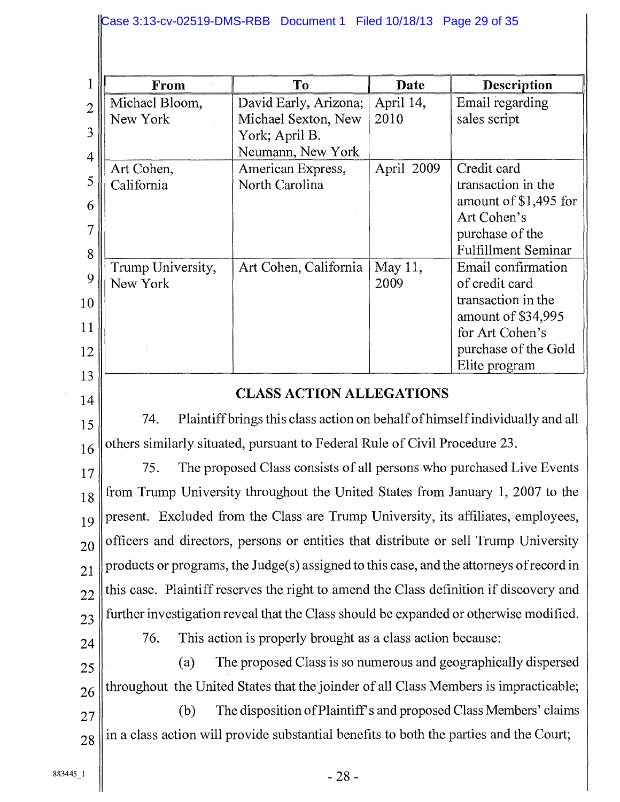| $\mathbf 1$    | From                                                                                     | To                                                                                     | Date       | Description                                   |  |  |  |  |  |
|----------------|------------------------------------------------------------------------------------------|----------------------------------------------------------------------------------------|------------|-----------------------------------------------|--|--|--|--|--|
| $\overline{2}$ | Michael Bloom,                                                                           | David Early, Arizona;                                                                  | April 14,  | Email regarding                               |  |  |  |  |  |
| 3              | New York                                                                                 | Michael Sexton, New<br>York; April B.                                                  | 2010       | sales script                                  |  |  |  |  |  |
| $\overline{4}$ | Art Cohen,                                                                               | Neumann, New York                                                                      | April 2009 | Credit card                                   |  |  |  |  |  |
| 5              | California                                                                               | American Express,<br>North Carolina                                                    |            | transaction in the                            |  |  |  |  |  |
| 6              |                                                                                          |                                                                                        |            | amount of \$1,495 for                         |  |  |  |  |  |
| $\overline{7}$ |                                                                                          |                                                                                        |            | Art Cohen's                                   |  |  |  |  |  |
|                |                                                                                          |                                                                                        |            | purchase of the<br><b>Fulfillment Seminar</b> |  |  |  |  |  |
| 8              | Trump University,                                                                        | Art Cohen, California                                                                  | May 11,    | Email confirmation                            |  |  |  |  |  |
| 9              | New York                                                                                 |                                                                                        | 2009       | of credit card                                |  |  |  |  |  |
| 10             |                                                                                          |                                                                                        |            | transaction in the                            |  |  |  |  |  |
| 11             |                                                                                          |                                                                                        |            | amount of \$34,995<br>for Art Cohen's         |  |  |  |  |  |
| 12             |                                                                                          |                                                                                        |            | purchase of the Gold                          |  |  |  |  |  |
| 13             |                                                                                          |                                                                                        |            | Elite program                                 |  |  |  |  |  |
| 14             |                                                                                          | <b>CLASS ACTION ALLEGATIONS</b>                                                        |            |                                               |  |  |  |  |  |
| 15             | 74.                                                                                      | Plaintiff brings this class action on behalf of himself individually and all           |            |                                               |  |  |  |  |  |
| 16             |                                                                                          | others similarly situated, pursuant to Federal Rule of Civil Procedure 23.             |            |                                               |  |  |  |  |  |
| 17             | The proposed Class consists of all persons who purchased Live Events<br>75.              |                                                                                        |            |                                               |  |  |  |  |  |
| 18             |                                                                                          | from Trump University throughout the United States from January 1, 2007 to the         |            |                                               |  |  |  |  |  |
| 19             | present. Excluded from the Class are Trump University, its affiliates, employees,        |                                                                                        |            |                                               |  |  |  |  |  |
| 20             |                                                                                          | officers and directors, persons or entities that distribute or sell Trump University   |            |                                               |  |  |  |  |  |
| 21             | products or programs, the Judge(s) assigned to this case, and the attorneys of record in |                                                                                        |            |                                               |  |  |  |  |  |
| 22             |                                                                                          | this case. Plaintiff reserves the right to amend the Class definition if discovery and |            |                                               |  |  |  |  |  |
| 23             |                                                                                          | further investigation reveal that the Class should be expanded or otherwise modified.  |            |                                               |  |  |  |  |  |
| 24             | 76.                                                                                      | This action is properly brought as a class action because:                             |            |                                               |  |  |  |  |  |
| 25             | (a)                                                                                      | The proposed Class is so numerous and geographically dispersed                         |            |                                               |  |  |  |  |  |
| 26             |                                                                                          | throughout the United States that the joinder of all Class Members is impracticable;   |            |                                               |  |  |  |  |  |
| 27             | (b)                                                                                      | The disposition of Plaintiff's and proposed Class Members' claims                      |            |                                               |  |  |  |  |  |
| 28             | in a class action will provide substantial benefits to both the parties and the Court;   |                                                                                        |            |                                               |  |  |  |  |  |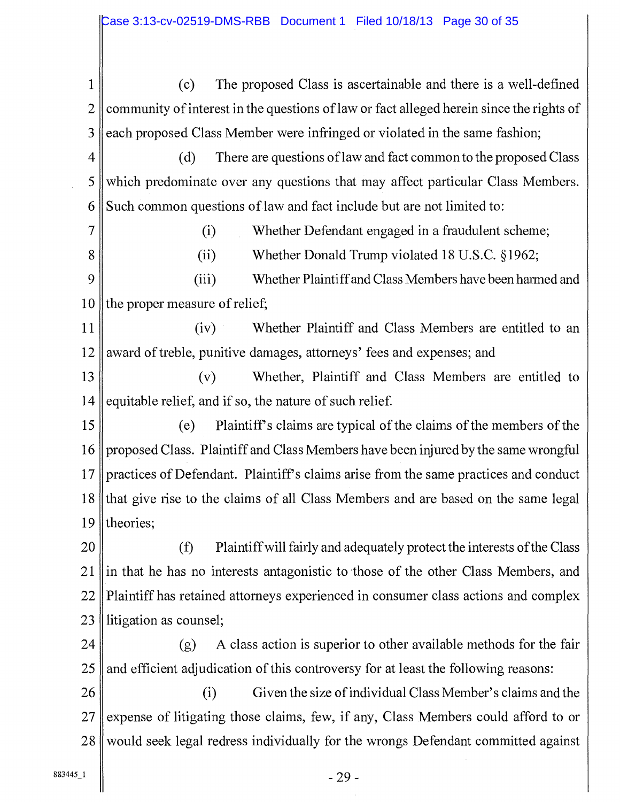1 (c) The proposed Class is ascertainable and there is a well-defined 2 community of interest in the questions of law or fact alleged herein since the rights of 3 each proposed Class Member were infringed or violated in the same fashion; 4  $\parallel$  (d) There are questions of law and fact common to the proposed Class 5 which predominate over any questions that may affect particular Class Members. 6 Such common questions of law and fact include but are not limited to: 7 (i) Whether Defendant engaged in a fraudulent scheme; 8 (ii) Whether Donald Trump violated 18 U.S.C. § 1962; 9 (iii) Whether Plaintiff and Class Members have been harmed and 10 the proper measure of relief; 11 (iv) Whether Plaintiff and Class Members are entitled to an 12 award of treble, punitive damages, attorneys' fees and expenses; and 13 (v) Whether, Plaintiff and Class Members are entitled to 14 equitable relief, and if so, the nature of such relief. 15 (e) Plaintiff's claims are typical of the claims of the members of the 16 proposed Class. Plaintiff and Class Members have been injured by the same wrongful 17 practices of Defendant. Plaintiff's claims arise from the same practices and conduct 18 that give rise to the claims of all Class Members and are based on the same legal 19 || theories; 20 (f) Plaintiff will fairly and adequately protect the interests of the Class  $21$  ||in that he has no interests antagonistic to those of the other Class Members, and 22 Plaintiff has retained attorneys experienced in consumer class actions and complex 23 Ilitigation as counsel;

24  $\parallel$  (g) A class action is superior to other available methods for the fair  $25$  and efficient adjudication of this controversy for at least the following reasons:

26 (i) Given the size of individual Class Member's claims and the  $27$  expense of litigating those claims, few, if any, Class Members could afford to or 28 would seek legal redress individually for the wrongs Defendant committed against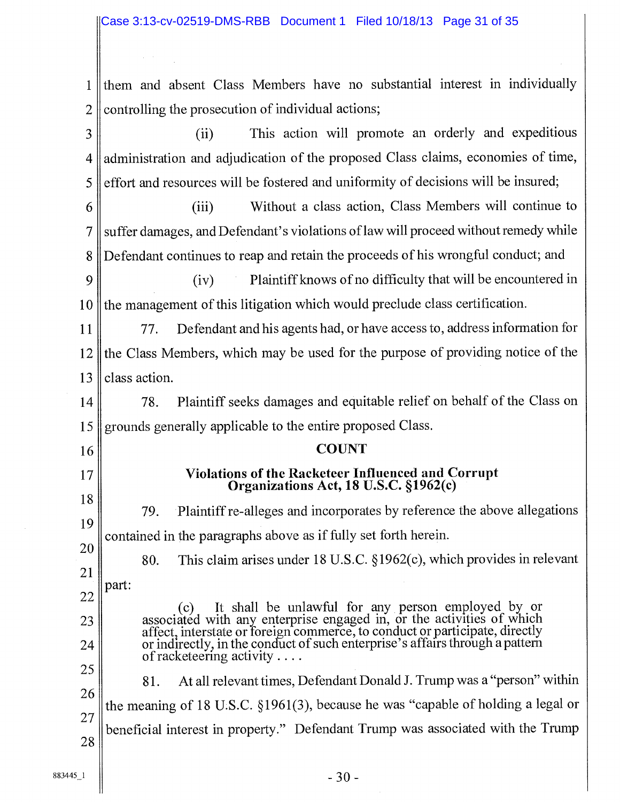them and absent Class Members have no substantial interest in individually controlling the prosecution of individual actions; 1 2

(ii) This action will promote an orderly and expeditious administration and adjudication of the proposed Class claims, economies of time, effort and resources will be fostered and uniformity of decisions will be insured; 3 4 5

(iii) Without a class action, Class Members will continue to suffer damages, and Defendant's violations of law will proceed without remedy while Defendant continues to reap and retain the proceeds of his wrongful conduct; and 6 7 8

(iv) Plaintiff knows of no difficulty that will be encountered in the management of this litigation which would preclude class certification. 9 10

77. Defendant and his agents had, or have access to, address information for the Class Members, which may be used for the purpose of providing notice of the class action. 11 12 13

78. Plaintiff seeks damages and equitable relief on behalf of the Class on grounds generally applicable to the entire proposed Class. 14 15

## **COUNT** Violations of the Racketeer Influenced and Corrupt Organizations Act, 18 U.S.C. §1962(c)

79. Plaintiff re-alleges and incorporates by reference the above allegations contained in the paragraphs above as if fully set forth herein. 18 19

80. This claim arises under 18 U.S.C. § 1962(c), which provides in relevant part: 20 21

(c) It shall be unlawful for any person employed by or associated with any enterprise engaged in, or the activities of which affect, interstate or foreign commerce, to conduct or participate, directly or indirectly, in the conduct of such enterprise's affairs through a patterr of racketeering activity ...

81. At all relevant times, Defendant Donald J. Trump was a "person" within the meaning of 18 U.S.C. §1961(3), because he was "capable of holding a legal or beneficial interest in property." Defendant Trump was associated with the Trump 25 26 27 28

16

17

22

23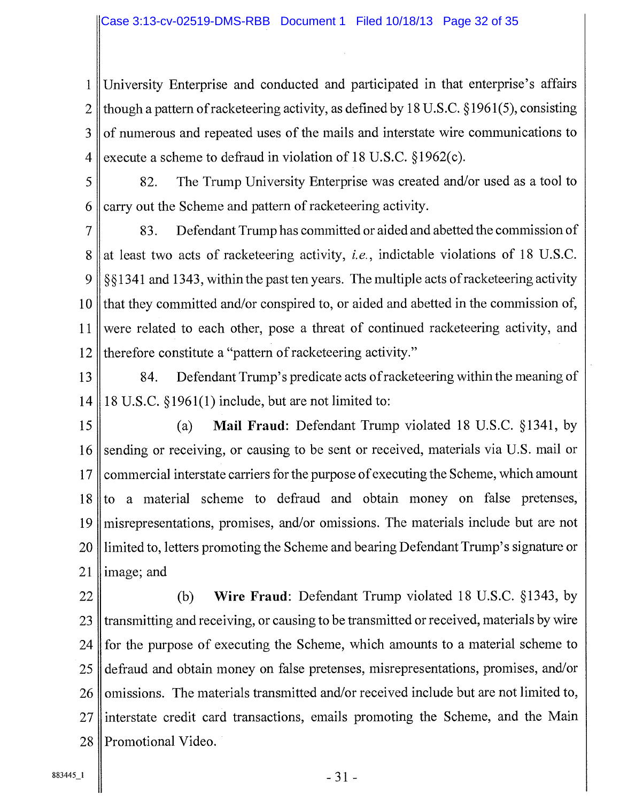1 University Enterprise and conducted and participated in that enterprise's affairs 2 though a pattern of racketeering activity, as defined by 18 U.S.C. § 1961(5), consisting of numerous and repeated uses of the mails and interstate wire communications to execute a scheme to defraud in violation of 18 U.S.C. § 1962(c). 3 4

82. The Trump University Enterprise was created and/or used as a tool to carry out the Scheme and pattern of racketeering activity. 5 6

83. Defendant Trump has committed or aided and abetted the commission of at least two acts of racketeering activity, i.e., indictable violations of 18 U.S.C. § § 1341 and 1343, within the past ten years. The multiple acts of racketeering activity that they committed and/or conspired to, or aided and abetted in the commission of, were related to each other, pose a threat of continued racketeering activity, and therefore constitute a "pattern of racketeering activity." 7 8 9 10 11 12

- 84. Defendant Trump's predicate acts of racketeering within the meaning of 18 U.S.C. §1961(1) include, but are not limited to: 13 14
- (a) Mail Fraud: Defendant Trump violated 18 U.S.C. § 1341, by sending or receiving, or causing to be sent or received, materials via U.S. mail or commercial interstate carriers for the purpose of executing the Scheme, which amount to a material scheme to defraud and obtain money on false pretenses, misrepresentations, promises, and/or omissions. The materials include but are not limited to, letters promoting the Scheme and bearing Defendant Trump's signature or image; and 15 16 17 18 19 20 21
- (b) Wire Fraud: Defendant Trump violated 18 U.S.C. § 1343, by transmitting and receiving, or causing to be transmitted or received, materials by wire for the purpose of executing the Scheme, which amounts to a material scheme to defraud and obtain money on false pretenses, misrepresentations, promises, and/or omissions. The materials transmitted and/or received include but are not limited to, interstate credit card transactions, emails promoting the Scheme, and the Main Promotional Video. 22 23 24 25 26 27 28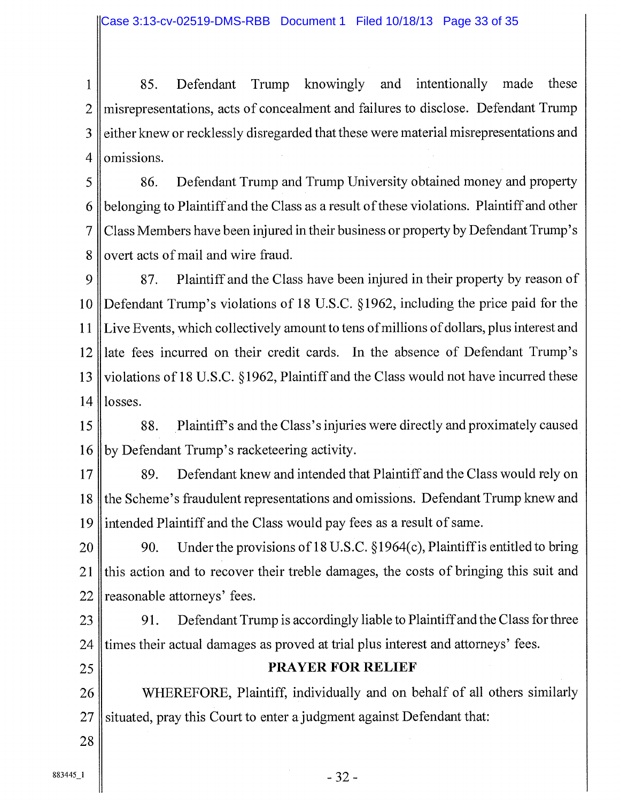1 85. Defendant Trump knowingly and intentionally made these 2 misrepresentations, acts of concealment and failures to disclose. Defendant Trump 3 either knew or recklessly disregarded that these were material misrepresentations and 4 | omissions.

5 86. Defendant Trump and Trump University obtained money and property 6 belonging to Plaintiff and the Class as a result of these violations. Plaintiff and other 7 Class Members have been injured in their business or property by Defendant Trump's 8 overt acts of mail and wire fraud.

9 87. Plaintiff and the Class have been injured in their property by reason of 10 Defendant Trump's violations of 18 U.S.C. § 1962, including the price paid for the 11 Live Events, which collectively amount to tens of millions of dollars, plus interest and 12 late fees incurred on their credit cards. In the absence of Defendant Trump's 13 violations of 18 U.S.C. § 1962, Plaintiff and the Class would not have incurred these  $14$  losses.

15 88. Plaintiffs and the Class's injuries were directly and proximately caused 16 by Defendant Trump's racketeering activity.

17 89. Defendant knew and intended that Plaintiff and the Class would rely on 18 the Scheme's fraudulent representations and omissions. Defendant Trump knew and 19 intended Plaintiff and the Class would pay fees as a result of same.

20 90. Under the provisions of 18 U.S.C.  $\S 1964(c)$ , Plaintiff is entitled to bring 21 this action and to recover their treble damages, the costs of bringing this suit and  $22$  reasonable attorneys' fees.

23 91. Defendant Trump is accordingly liable to Plaintiff and the Class for three 24 times their actual damages as proved at trial plus interest and attorneys' fees.

## 25 || PRAYER FOR RELIEF

26 WHEREFORE, Plaintiff, individually and on behalf of all others similarly  $27$  situated, pray this Court to enter a judgment against Defendant that: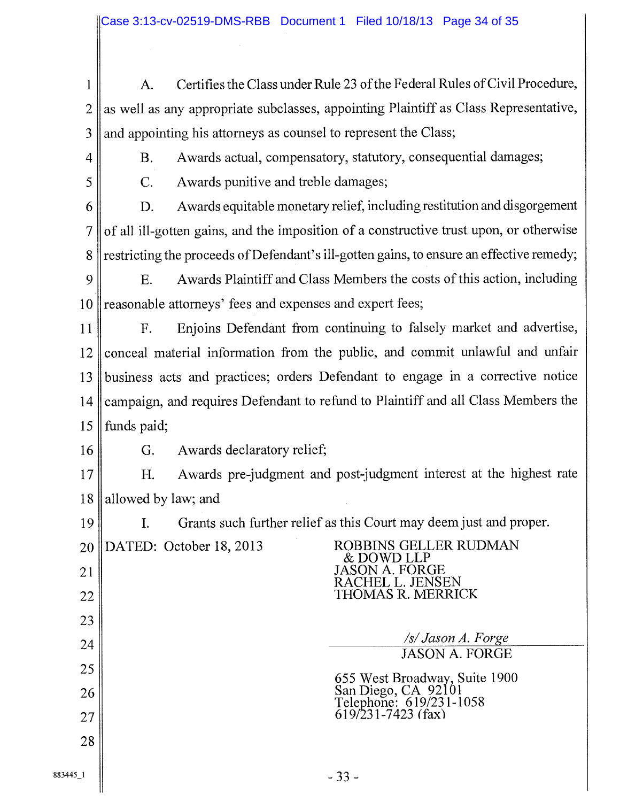A. Certifies the Class under Rule 23 of the Federal Rules of Civil Procedure, as well as any appropriate subclasses, appointing Plaintiff as Class Representative, and appointing his attorneys as counsel to represent the Class; 1 2 3

4

B. Awards actual, compensatory, statutory, consequential damages;

5

C. Awards punitive and treble damages;

D. Awards equitable monetary relief, including restitution and disgorgement of all ill-gotten gains, and the imposition of a constructive trust upon, or otherwise restricting the proceeds of Defendant's ill-gotten gains, to ensure an effective remedy; 6 7 8

E. Awards Plaintiff and Class Members the costs of this action, including reasonable attorneys' fees and expenses and expert fees; 9 10

F. Enjoins Defendant from continuing to falsely market and advertise, conceal material information from the public, and commit unlawful and unfair business acts and practices; orders Defendant to engage in a corrective notice campaign, and requires Defendant to refund to Plaintiff and all Class Members the funds paid; 11 12 13 14 15

G. Awards declaratory relief; 16

H. Awards pre judgment and post judgment interest at the highest rate allowed by law; and 17 18

> & DOWD LLP JASON A. FORGE RACHEL L. JENSEN THOMAS R. MERRICK

> > */s/ Jason A. Forge*  JASON A. FORGE

655 West Broadway, Suite 1900

San Diego, CA 92101 Telephone: 619/231-1058

619/231-7423 (fax)

I. Grants such further relief as this Court may deem just and proper. 19

DATED: October 18, 2013 ROBBINS GELLER RUDMAN 20 21

22 23

- 26 27
- 28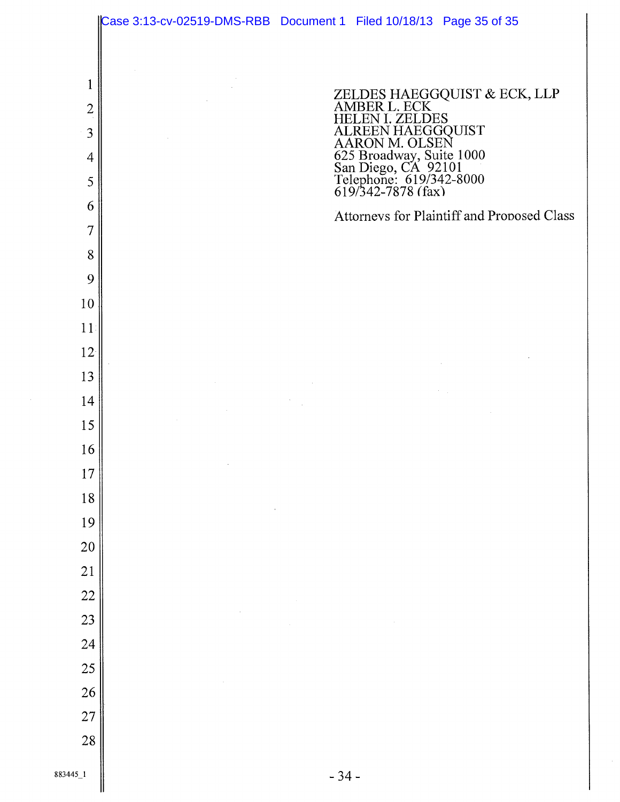